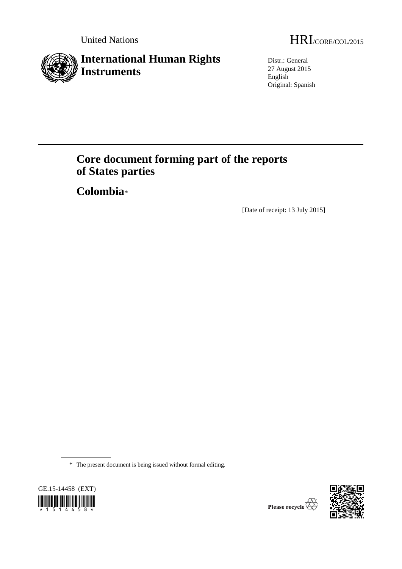

Distr.: General 27 August 2015 English Original: Spanish

# **Core document forming part of the reports of States parties**

**Colombia**[\\*](#page-0-0)

[Date of receipt: 13 July 2015]

\* The present document is being issued without formal editing.

<span id="page-0-0"></span>



Please recycle  $\overline{\mathbb{G}}$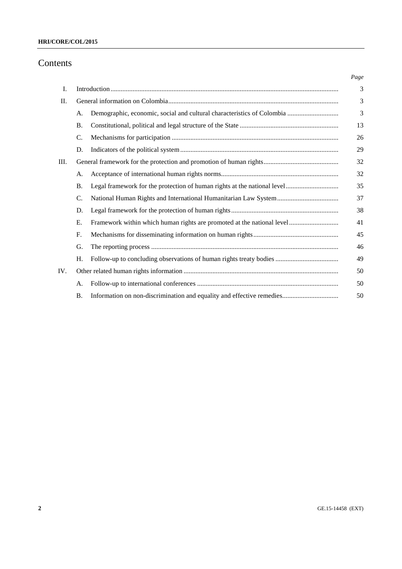## **HRI/CORE/COL/2015**

# Contents

|     |           |                                                                        | Page |  |
|-----|-----------|------------------------------------------------------------------------|------|--|
| I.  |           |                                                                        | 3    |  |
| П.  |           |                                                                        |      |  |
|     | А.        | Demographic, economic, social and cultural characteristics of Colombia | 3    |  |
|     | <b>B.</b> |                                                                        | 13   |  |
|     | C.        |                                                                        | 26   |  |
|     | D.        |                                                                        | 29   |  |
| Ш.  |           |                                                                        | 32   |  |
|     | А.        |                                                                        | 32   |  |
|     | <b>B.</b> |                                                                        | 35   |  |
|     | C.        |                                                                        | 37   |  |
|     | D.        |                                                                        | 38   |  |
|     | Ε.        | Framework within which human rights are promoted at the national level | 41   |  |
|     | F.        |                                                                        | 45   |  |
|     | G.        |                                                                        | 46   |  |
|     | H.        |                                                                        | 49   |  |
| IV. |           |                                                                        | 50   |  |
|     | А.        |                                                                        | 50   |  |
|     | <b>B.</b> |                                                                        | 50   |  |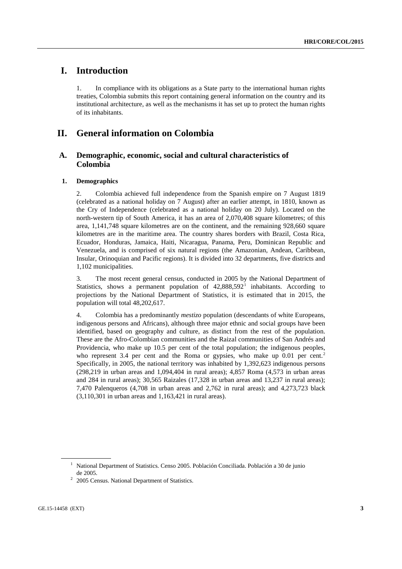# **I. Introduction**

1. In compliance with its obligations as a State party to the international human rights treaties, Colombia submits this report containing general information on the country and its institutional architecture, as well as the mechanisms it has set up to protect the human rights of its inhabitants.

## **II. General information on Colombia**

## **A. Demographic, economic, social and cultural characteristics of Colombia**

## **1. Demographics**

2. Colombia achieved full independence from the Spanish empire on 7 August 1819 (celebrated as a national holiday on 7 August) after an earlier attempt, in 1810, known as the Cry of Independence (celebrated as a national holiday on 20 July). Located on the north-western tip of South America, it has an area of 2,070,408 square kilometres; of this area, 1,141,748 square kilometres are on the continent, and the remaining 928,660 square kilometres are in the maritime area. The country shares borders with Brazil, Costa Rica, Ecuador, Honduras, Jamaica, Haiti, Nicaragua, Panama, Peru, Dominican Republic and Venezuela, and is comprised of six natural regions (the Amazonian, Andean, Caribbean, Insular, Orinoquian and Pacific regions). It is divided into 32 departments, five districts and 1,102 municipalities.

3. The most recent general census, conducted in 2005 by the National Department of Statistics, shows a permanent population of  $42,888,592<sup>1</sup>$  $42,888,592<sup>1</sup>$  $42,888,592<sup>1</sup>$  inhabitants. According to projections by the National Department of Statistics, it is estimated that in 2015, the population will total 48,202,617.

4. Colombia has a predominantly *mestizo* population (descendants of white Europeans, indigenous persons and Africans), although three major ethnic and social groups have been identified, based on geography and culture, as distinct from the rest of the population. These are the Afro-Colombian communities and the Raizal communities of San Andrés and Providencia, who make up 10.5 per cent of the total population; the indigenous peoples, who represent 3.4 per cent and the Roma or gypsies, who make up  $0.01$  per cent.<sup>[2](#page-2-1)</sup> Specifically, in 2005, the national territory was inhabited by 1,392,623 indigenous persons (298,219 in urban areas and 1,094,404 in rural areas); 4,857 Roma (4,573 in urban areas and 284 in rural areas); 30,565 Raizales (17,328 in urban areas and 13,237 in rural areas); 7,470 Palenqueros (4,708 in urban areas and 2,762 in rural areas); and 4,273,723 black (3,110,301 in urban areas and 1,163,421 in rural areas).

<span id="page-2-0"></span><sup>&</sup>lt;sup>1</sup> National Department of Statistics. Censo 2005. Población Conciliada. Población a 30 de junio de 2005.

<span id="page-2-1"></span><sup>2</sup> 2005 Census. National Department of Statistics.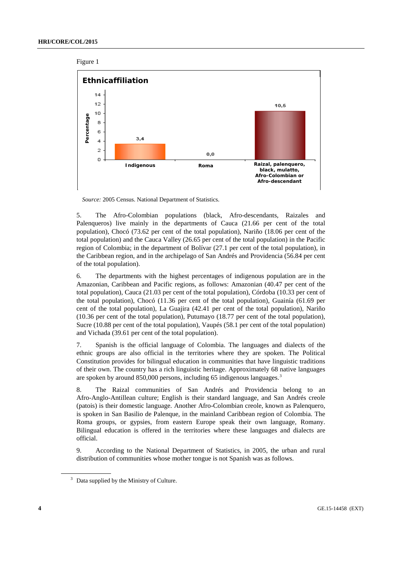



*Source:* 2005 Census. National Department of Statistics.

5. The Afro-Colombian populations (black, Afro-descendants, Raizales and Palenqueros) live mainly in the departments of Cauca (21.66 per cent of the total population), Chocó (73.62 per cent of the total population), Nariño (18.06 per cent of the total population) and the Cauca Valley (26.65 per cent of the total population) in the Pacific region of Colombia; in the department of Bolívar (27.1 per cent of the total population), in the Caribbean region, and in the archipelago of San Andrés and Providencia (56.84 per cent of the total population).

6. The departments with the highest percentages of indigenous population are in the Amazonian, Caribbean and Pacific regions, as follows: Amazonian (40.47 per cent of the total population), Cauca (21.03 per cent of the total population), Córdoba (10.33 per cent of the total population), Chocó (11.36 per cent of the total population), Guainía (61.69 per cent of the total population), La Guajira (42.41 per cent of the total population), Nariño (10.36 per cent of the total population), Putumayo (18.77 per cent of the total population), Sucre (10.88 per cent of the total population), Vaupés (58.1 per cent of the total population) and Vichada (39.61 per cent of the total population).

7. Spanish is the official language of Colombia. The languages and dialects of the ethnic groups are also official in the territories where they are spoken. The Political Constitution provides for bilingual education in communities that have linguistic traditions of their own. The country has a rich linguistic heritage. Approximately 68 native languages are spoken by around 850,000 persons, including 65 indigenous languages.<sup>[3](#page-3-0)</sup>

8. The Raizal communities of San Andrés and Providencia belong to an Afro-Anglo-Antillean culture; English is their standard language, and San Andrés creole (patois) is their domestic language. Another Afro-Colombian creole, known as Palenquero, is spoken in San Basilio de Palenque, in the mainland Caribbean region of Colombia. The Roma groups, or gypsies, from eastern Europe speak their own language, Romany. Bilingual education is offered in the territories where these languages and dialects are official.

9. According to the National Department of Statistics, in 2005, the urban and rural distribution of communities whose mother tongue is not Spanish was as follows.

<span id="page-3-0"></span><sup>&</sup>lt;sup>3</sup> Data supplied by the Ministry of Culture.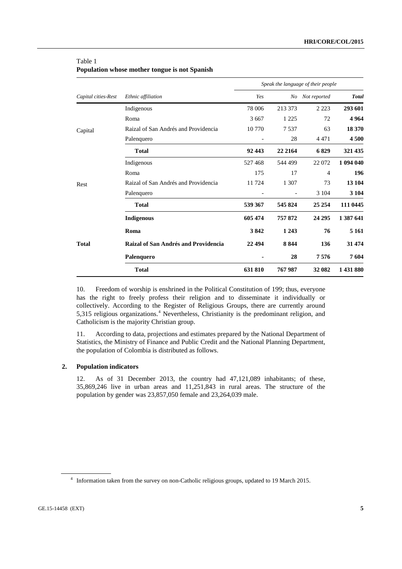## Table 1

|                     |                                      |                |          | Speak the language of their people |              |
|---------------------|--------------------------------------|----------------|----------|------------------------------------|--------------|
| Capital cities-Rest | Ethnic affiliation                   | Yes            | No       | Not reported                       | <b>Total</b> |
|                     | Indigenous                           | 78 006         | 213 373  | 2 2 2 3                            | 293 601      |
|                     | Roma                                 | 3 6 6 7        | 1 2 2 5  | 72                                 | 4964         |
| Capital             | Raizal of San Andrés and Providencia | 10 770         | 7537     | 63                                 | 18 370       |
|                     | Palenquero                           | $\overline{a}$ | 28       | 4 4 7 1                            | 4 500        |
|                     | <b>Total</b>                         | 92 443         | 22 21 64 | 6829                               | 321 435      |
|                     | Indigenous                           | 527468         | 544 499  | 22 072                             | 1 094 040    |
|                     | Roma                                 | 175            | 17       | 4                                  | 196          |
| Rest                | Raizal of San Andrés and Providencia | 11724          | 1 307    | 73                                 | 13 104       |
|                     | Palenquero                           |                |          | 3 1 0 4                            | 3 1 0 4      |
|                     | <b>Total</b>                         | 539 367        | 545824   | 25 25 4                            | 111 0445     |
|                     | <b>Indigenous</b>                    | 605 474        | 757872   | 24 29 5                            | 1 387 641    |
|                     | Roma                                 | 3842           | 1 2 4 3  | 76                                 | 5 1 6 1      |
| <b>Total</b>        | Raizal of San Andrés and Providencia | 22 4 9 4       | 8844     | 136                                | 31 474       |
|                     | Palenquero                           |                | 28       | 7576                               | 7604         |
|                     | <b>Total</b>                         | 631 810        | 767987   | 32 082                             | 1 431 880    |

**Population whose mother tongue is not Spanish**

10. Freedom of worship is enshrined in the Political Constitution of 199; thus, everyone has the right to freely profess their religion and to disseminate it individually or collectively. According to the Register of Religious Groups, there are currently around 5,315 religious organizations.[4](#page-4-0) Nevertheless, Christianity is the predominant religion, and Catholicism is the majority Christian group.

11. According to data, projections and estimates prepared by the National Department of Statistics, the Ministry of Finance and Public Credit and the National Planning Department, the population of Colombia is distributed as follows.

#### **2. Population indicators**

12. As of 31 December 2013, the country had 47,121,089 inhabitants; of these, 35,869,246 live in urban areas and 11,251,843 in rural areas. The structure of the population by gender was 23,857,050 female and 23,264,039 male.

<span id="page-4-0"></span><sup>4</sup> Information taken from the survey on non-Catholic religious groups, updated to 19 March 2015.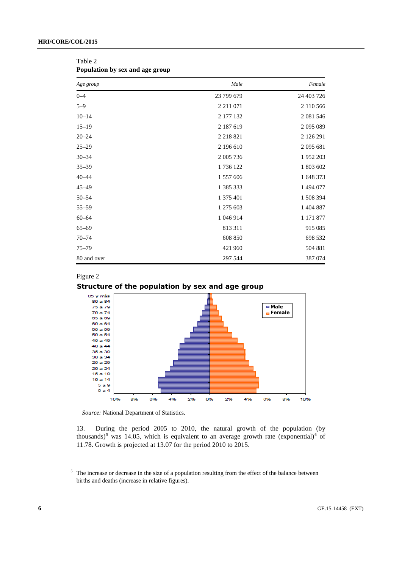| Age group   | Male          | Female     |
|-------------|---------------|------------|
| $0 - 4$     | 23 799 679    | 24 403 726 |
| $5 - 9$     | 2 2 1 1 0 7 1 | 2 110 566  |
| $10 - 14$   | 2 177 132     | 2 081 546  |
| $15 - 19$   | 2 187 619     | 2 095 089  |
| $20 - 24$   | 2 2 18 8 21   | 2 126 291  |
| $25 - 29$   | 2 196 610     | 2 095 681  |
| $30 - 34$   | 2 005 736     | 1952 203   |
| $35 - 39$   | 1736 122      | 1 803 602  |
| $40 - 44$   | 1 557 606     | 1 648 373  |
| $45 - 49$   | 1 385 333     | 1 494 077  |
| $50 - 54$   | 1 375 401     | 1 508 394  |
| $55 - 59$   | 1 275 603     | 1 404 887  |
| $60 - 64$   | 1 046 914     | 1 171 877  |
| $65 - 69$   | 813 311       | 915 085    |
| $70 - 74$   | 608 850       | 698 532    |
| $75 - 79$   | 421 960       | 504 881    |
| 80 and over | 297 544       | 387 074    |

Table 2 **Population by sex and age group**

#### Figure 2





*Source:* National Department of Statistics.

13. During the period 2005 to 2010, the natural growth of the population (by thousands)<sup>[5](#page-5-0)</sup> was 14.05, which is equivalent to an average growth rate (exponential)<sup>[6](#page-5-1)</sup> of 11.78. Growth is projected at 13.07 for the period 2010 to 2015.

<span id="page-5-1"></span><span id="page-5-0"></span><sup>&</sup>lt;sup>5</sup> The increase or decrease in the size of a population resulting from the effect of the balance between births and deaths (increase in relative figures).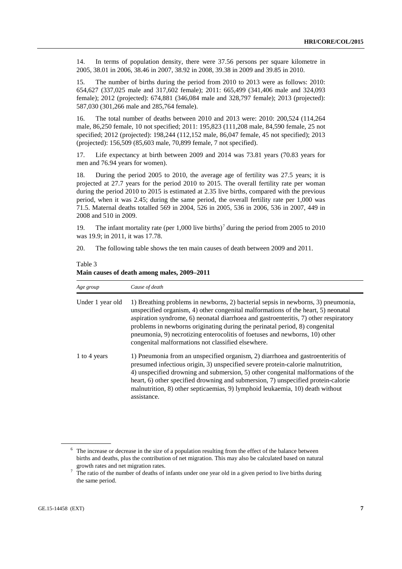14. In terms of population density, there were 37.56 persons per square kilometre in 2005, 38.01 in 2006, 38.46 in 2007, 38.92 in 2008, 39.38 in 2009 and 39.85 in 2010.

15. The number of births during the period from 2010 to 2013 were as follows: 2010: 654,627 (337,025 male and 317,602 female); 2011: 665,499 (341,406 male and 324,093 female); 2012 (projected): 674,881 (346,084 male and 328,797 female); 2013 (projected): 587,030 (301,266 male and 285,764 female).

16. The total number of deaths between 2010 and 2013 were: 2010: 200,524 (114,264 male, 86,250 female, 10 not specified; 2011: 195,823 (111,208 male, 84,590 female, 25 not specified; 2012 (projected): 198,244 (112,152 male, 86,047 female, 45 not specified); 2013 (projected): 156,509 (85,603 male, 70,899 female, 7 not specified).

17. Life expectancy at birth between 2009 and 2014 was 73.81 years (70.83 years for men and 76.94 years for women).

18. During the period 2005 to 2010, the average age of fertility was 27.5 years; it is projected at 27.7 years for the period 2010 to 2015. The overall fertility rate per woman during the period 2010 to 2015 is estimated at 2.35 live births, compared with the previous period, when it was 2.45; during the same period, the overall fertility rate per 1,000 was 71.5. Maternal deaths totalled 569 in 2004, 526 in 2005, 536 in 2006, 536 in 2007, 449 in 2008 and 510 in 2009.

19. The infant mortality rate (per 1,000 live births)<sup>[7](#page-6-0)</sup> during the period from 2005 to 2010 was 19.9; in 2011, it was 17.78.

20. The following table shows the ten main causes of death between 2009 and 2011.

| Age group        | Cause of death                                                                                                                                                                                                                                                                                                                                                                                                                                                                     |
|------------------|------------------------------------------------------------------------------------------------------------------------------------------------------------------------------------------------------------------------------------------------------------------------------------------------------------------------------------------------------------------------------------------------------------------------------------------------------------------------------------|
| Under 1 year old | 1) Breathing problems in newborns, 2) bacterial sepsis in newborns, 3) pneumonia,<br>unspecified organism, 4) other congenital malformations of the heart, 5) neonatal<br>aspiration syndrome, 6) neonatal diarrhoea and gastroenteritis, 7) other respiratory<br>problems in newborns originating during the perinatal period, 8) congenital<br>pneumonia, 9) necrotizing enterocolitis of foetuses and newborns, 10) other<br>congenital malformations not classified elsewhere. |
| 1 to 4 years     | 1) Pneumonia from an unspecified organism, 2) diarrhoea and gastroenteritis of<br>presumed infectious origin, 3) unspecified severe protein-calorie malnutrition,<br>4) unspecified drowning and submersion, 5) other congenital malformations of the<br>heart, 6) other specified drowning and submersion, 7) unspecified protein-calorie<br>malnutrition, 8) other septicaemias, 9) lymphoid leukaemia, 10) death without<br>assistance.                                         |

Table 3 **Main causes of death among males, 2009–2011**

<sup>&</sup>lt;sup>6</sup> The increase or decrease in the size of a population resulting from the effect of the balance between births and deaths, plus the contribution of net migration. This may also be calculated based on natural growth rates and net migration rates.

<span id="page-6-0"></span><sup>&</sup>lt;sup>7</sup> The ratio of the number of deaths of infants under one year old in a given period to live births during the same period.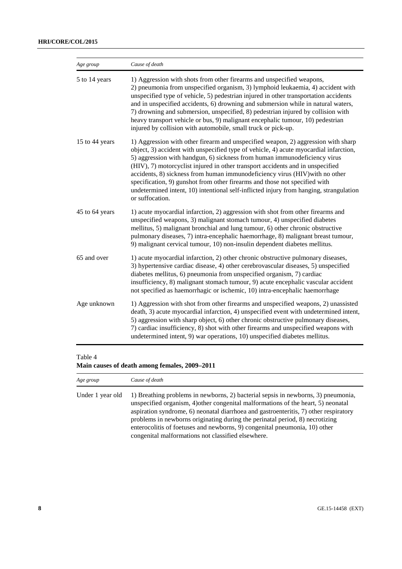| Age group      | Cause of death                                                                                                                                                                                                                                                                                                                                                                                                                                                                                                                                                                                                       |
|----------------|----------------------------------------------------------------------------------------------------------------------------------------------------------------------------------------------------------------------------------------------------------------------------------------------------------------------------------------------------------------------------------------------------------------------------------------------------------------------------------------------------------------------------------------------------------------------------------------------------------------------|
| 5 to 14 years  | 1) Aggression with shots from other firearms and unspecified weapons,<br>2) pneumonia from unspecified organism, 3) lymphoid leukaemia, 4) accident with<br>unspecified type of vehicle, 5) pedestrian injured in other transportation accidents<br>and in unspecified accidents, 6) drowning and submersion while in natural waters,<br>7) drowning and submersion, unspecified, 8) pedestrian injured by collision with<br>heavy transport vehicle or bus, 9) malignant encephalic tumour, 10) pedestrian<br>injured by collision with automobile, small truck or pick-up.                                         |
| 15 to 44 years | 1) Aggression with other firearm and unspecified weapon, 2) aggression with sharp<br>object, 3) accident with unspecified type of vehicle, 4) acute myocardial infarction,<br>5) aggression with handgun, 6) sickness from human immunodeficiency virus<br>(HIV), 7) motorcyclist injured in other transport accidents and in unspecified<br>accidents, 8) sickness from human immunodeficiency virus (HIV) with no other<br>specification, 9) gunshot from other firearms and those not specified with<br>undetermined intent, 10) intentional self-inflicted injury from hanging, strangulation<br>or suffocation. |
| 45 to 64 years | 1) acute myocardial infarction, 2) aggression with shot from other firearms and<br>unspecified weapons, 3) malignant stomach tumour, 4) unspecified diabetes<br>mellitus, 5) malignant bronchial and lung tumour, 6) other chronic obstructive<br>pulmonary diseases, 7) intra-encephalic haemorrhage, 8) malignant breast tumour,<br>9) malignant cervical tumour, 10) non-insulin dependent diabetes mellitus.                                                                                                                                                                                                     |
| 65 and over    | 1) acute myocardial infarction, 2) other chronic obstructive pulmonary diseases,<br>3) hypertensive cardiac disease, 4) other cerebrovascular diseases, 5) unspecified<br>diabetes mellitus, 6) pneumonia from unspecified organism, 7) cardiac<br>insufficiency, 8) malignant stomach tumour, 9) acute encephalic vascular accident<br>not specified as haemorrhagic or ischemic, 10) intra-encephalic haemorrhage                                                                                                                                                                                                  |
| Age unknown    | 1) Aggression with shot from other firearms and unspecified weapons, 2) unassisted<br>death, 3) acute myocardial infarction, 4) unspecified event with undetermined intent,<br>5) aggression with sharp object, 6) other chronic obstructive pulmonary diseases,<br>7) cardiac insufficiency, 8) shot with other firearms and unspecified weapons with<br>undetermined intent, 9) war operations, 10) unspecified diabetes mellitus.                                                                                                                                                                                 |

## Table 4

**Main causes of death among females, 2009–2011**

| Age group        | Cause of death                                                                                                                                                                                                                                                                                                                                                                                                                                                                     |  |  |  |
|------------------|------------------------------------------------------------------------------------------------------------------------------------------------------------------------------------------------------------------------------------------------------------------------------------------------------------------------------------------------------------------------------------------------------------------------------------------------------------------------------------|--|--|--|
| Under 1 year old | 1) Breathing problems in newborns, 2) bacterial sepsis in newborns, 3) pneumonia,<br>unspecified organism, 4) other congenital malformations of the heart, 5) neonatal<br>aspiration syndrome, 6) neonatal diarrhoea and gastroenteritis, 7) other respiratory<br>problems in newborns originating during the perinatal period, 8) necrotizing<br>enterocolitis of foetuses and newborns, 9) congenital pneumonia, 10) other<br>congenital malformations not classified elsewhere. |  |  |  |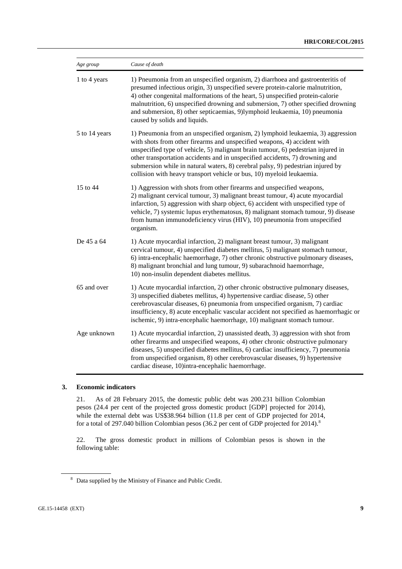#### **HRI/CORE/COL/2015**

| Age group     | Cause of death                                                                                                                                                                                                                                                                                                                                                                                                                                                                              |
|---------------|---------------------------------------------------------------------------------------------------------------------------------------------------------------------------------------------------------------------------------------------------------------------------------------------------------------------------------------------------------------------------------------------------------------------------------------------------------------------------------------------|
| 1 to 4 years  | 1) Pneumonia from an unspecified organism, 2) diarrhoea and gastroenteritis of<br>presumed infectious origin, 3) unspecified severe protein-calorie malnutrition,<br>4) other congenital malformations of the heart, 5) unspecified protein-calorie<br>malnutrition, 6) unspecified drowning and submersion, 7) other specified drowning<br>and submersion, 8) other septicaemias, 9)lymphoid leukaemia, 10) pneumonia<br>caused by solids and liquids.                                     |
| 5 to 14 years | 1) Pneumonia from an unspecified organism, 2) lymphoid leukaemia, 3) aggression<br>with shots from other firearms and unspecified weapons, 4) accident with<br>unspecified type of vehicle, 5) malignant brain tumour, 6) pedestrian injured in<br>other transportation accidents and in unspecified accidents, 7) drowning and<br>submersion while in natural waters, 8) cerebral palsy, 9) pedestrian injured by<br>collision with heavy transport vehicle or bus, 10) myeloid leukaemia. |
| 15 to 44      | 1) Aggression with shots from other firearms and unspecified weapons,<br>2) malignant cervical tumour, 3) malignant breast tumour, 4) acute myocardial<br>infarction, 5) aggression with sharp object, 6) accident with unspecified type of<br>vehicle, 7) systemic lupus erythematosus, 8) malignant stomach tumour, 9) disease<br>from human immunodeficiency virus (HIV), 10) pneumonia from unspecified<br>organism.                                                                    |
| De 45 a 64    | 1) Acute myocardial infarction, 2) malignant breast tumour, 3) malignant<br>cervical tumour, 4) unspecified diabetes mellitus, 5) malignant stomach tumour,<br>6) intra-encephalic haemorrhage, 7) other chronic obstructive pulmonary diseases,<br>8) malignant bronchial and lung tumour, 9) subarachnoid haemorrhage,<br>10) non-insulin dependent diabetes mellitus.                                                                                                                    |
| 65 and over   | 1) Acute myocardial infarction, 2) other chronic obstructive pulmonary diseases,<br>3) unspecified diabetes mellitus, 4) hypertensive cardiac disease, 5) other<br>cerebrovascular diseases, 6) pneumonia from unspecified organism, 7) cardiac<br>insufficiency, 8) acute encephalic vascular accident not specified as haemorrhagic or<br>ischemic, 9) intra-encephalic haemorrhage, 10) malignant stomach tumour.                                                                        |
| Age unknown   | 1) Acute myocardial infarction, 2) unassisted death, 3) aggression with shot from<br>other firearms and unspecified weapons, 4) other chronic obstructive pulmonary<br>diseases, 5) unspecified diabetes mellitus, 6) cardiac insufficiency, 7) pneumonia<br>from unspecified organism, 8) other cerebrovascular diseases, 9) hypertensive<br>cardiac disease, 10)intra-encephalic haemorrhage.                                                                                             |

## **3. Economic indicators**

21. As of 28 February 2015, the domestic public debt was 200.231 billion Colombian pesos (24.4 per cent of the projected gross domestic product [GDP] projected for 2014), while the external debt was US\$38.964 billion (11.8 per cent of GDP projected for 2014, for a total of 297.040 billion Colombian pesos (36.2 per cent of GDP projected for 2014).<sup>[8](#page-8-0)</sup>

22. The gross domestic product in millions of Colombian pesos is shown in the following table:

<span id="page-8-0"></span><sup>8</sup> Data supplied by the Ministry of Finance and Public Credit.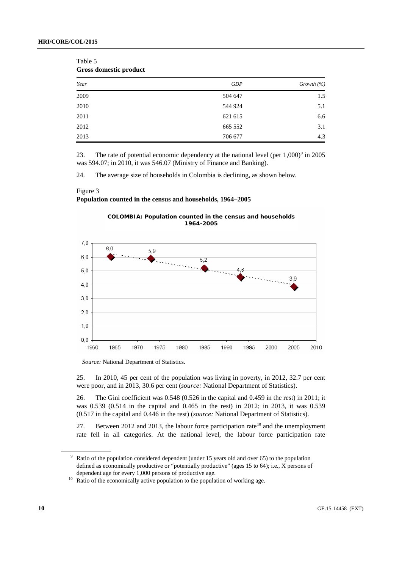| ----- --------- <b>-</b> -- <i>-</i> |            |               |  |  |
|--------------------------------------|------------|---------------|--|--|
| Year                                 | <b>GDP</b> | Growth $(\%)$ |  |  |
| 2009                                 | 504 647    | 1.5           |  |  |
| 2010                                 | 544 924    | 5.1           |  |  |
| 2011                                 | 621 615    | 6.6           |  |  |
| 2012                                 | 665 552    | 3.1           |  |  |
| 2013                                 | 706 677    | 4.3           |  |  |

Table 5 **Gross domestic product**

23. The rate of potential economic dependency at the national level (per  $1,000$ )<sup>[9](#page-9-0)</sup> in 2005 was 594.07; in 2010, it was 546.07 (Ministry of Finance and Banking).

24. The average size of households in Colombia is declining, as shown below.

#### Figure 3

1960

1965

#### **Population counted in the census and households, 1964–2005**



*Source:* National Department of Statistics.

1970

1975

1980

25. In 2010, 45 per cent of the population was living in poverty, in 2012, 32.7 per cent were poor, and in 2013, 30.6 per cent (*source:* National Department of Statistics).

1985

1990

1995

2000

2005

2010

26. The Gini coefficient was 0.548 (0.526 in the capital and 0.459 in the rest) in 2011; it was 0.539 (0.514 in the capital and 0.465 in the rest) in 2012; in 2013, it was 0.539 (0.517 in the capital and 0.446 in the rest) (*source:* National Department of Statistics).

27. Between 2012 and 2013, the labour force participation rate<sup>[10](#page-9-1)</sup> and the unemployment rate fell in all categories. At the national level, the labour force participation rate

<span id="page-9-0"></span>Ratio of the population considered dependent (under 15 years old and over 65) to the population defined as economically productive or "potentially productive" (ages 15 to 64); i.e., X persons of dependent age for every 1,000 persons of productive age.

<span id="page-9-1"></span><sup>&</sup>lt;sup>10</sup> Ratio of the economically active population to the population of working age.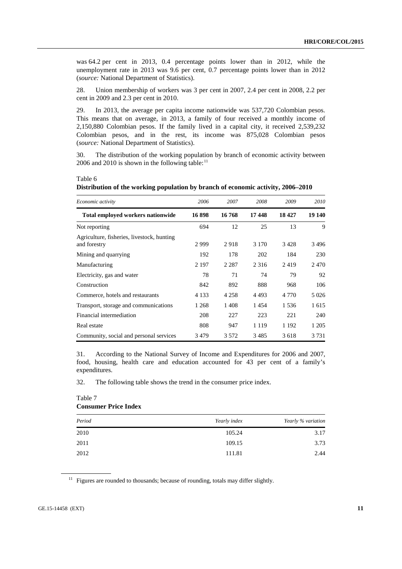was 64.2 per cent in 2013, 0.4 percentage points lower than in 2012, while the unemployment rate in 2013 was 9.6 per cent, 0.7 percentage points lower than in 2012 (*source:* National Department of Statistics).

28. Union membership of workers was 3 per cent in 2007, 2.4 per cent in 2008, 2.2 per cent in 2009 and 2.3 per cent in 2010.

29. In 2013, the average per capita income nationwide was 537,720 Colombian pesos. This means that on average, in 2013, a family of four received a monthly income of 2,150,880 Colombian pesos. If the family lived in a capital city, it received 2,539,232 Colombian pesos, and in the rest, its income was 875,028 Colombian pesos (*source:* National Department of Statistics).

30. The distribution of the working population by branch of economic activity between 2006 and 2010 is shown in the following table: $11$ 

| 2006    | 2007    | 2008    | 2009    | 2010    |
|---------|---------|---------|---------|---------|
| 16898   | 16768   | 17448   | 18 427  | 19 140  |
| 694     | 12      | 25      | 13      | 9       |
| 2999    | 2918    | 3 1 7 0 | 3428    | 3496    |
| 192     | 178     | 202     | 184     | 230     |
| 2 1 9 7 | 2 2 8 7 | 2 3 1 6 | 2419    | 2470    |
| 78      | 71      | 74      | 79      | 92      |
| 842     | 892     | 888     | 968     | 106     |
| 4 1 3 3 | 4 2 5 8 | 4493    | 4 7 7 0 | 5 0 2 6 |
| 1 2 6 8 | 1408    | 1454    | 1.536   | 1 615   |
| 208     | 227     | 223     | 221     | 240     |
| 808     | 947     | 1 1 1 9 | 1 1 9 2 | 1 2 0 5 |
| 3479    | 3 5 7 2 | 3485    | 3618    | 3 7 3 1 |
|         |         |         |         |         |

Table 6 **Distribution of the working population by branch of economic activity, 2006–2010**

31. According to the National Survey of Income and Expenditures for 2006 and 2007, food, housing, health care and education accounted for 43 per cent of a family's expenditures.

32. The following table shows the trend in the consumer price index.

## Table 7 **Consumer Price Index**

| Period | Yearly index | Yearly % variation |
|--------|--------------|--------------------|
| 2010   | 105.24       | 3.17               |
| 2011   | 109.15       | 3.73               |
| 2012   | 111.81       | 2.44               |

<span id="page-10-0"></span><sup>11</sup> Figures are rounded to thousands; because of rounding, totals may differ slightly.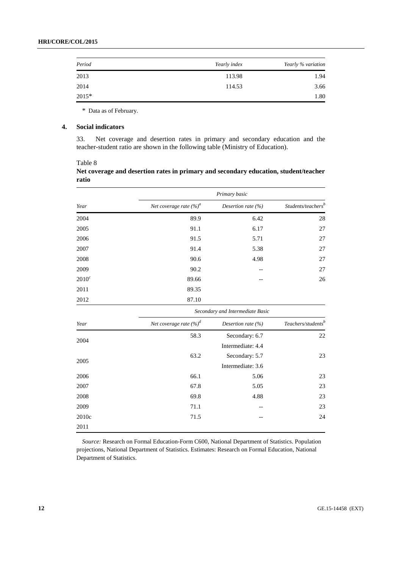| Period | Yearly index | Yearly % variation |
|--------|--------------|--------------------|
| 2013   | 113.98       | 1.94               |
| 2014   | 114.53       | 3.66               |
| 2015*  |              | 1.80               |

\* Data as of February.

#### **4. Social indicators**

33. Net coverage and desertion rates in primary and secondary education and the teacher-student ratio are shown in the following table (Ministry of Education).

Table 8 **Net coverage and desertion rates in primary and secondary education, student/teacher ratio**

|          |                                    | Primary basic         |                                                            |  |  |
|----------|------------------------------------|-----------------------|------------------------------------------------------------|--|--|
| Year     | Net coverage rate (%) <sup>a</sup> | Desertion rate $(\%)$ | $\label{thm:1} Students/teaches^b$                         |  |  |
| 2004     | 89.9                               | 6.42                  | 28                                                         |  |  |
| 2005     | 91.1                               | 6.17                  | 27                                                         |  |  |
| 2006     | 91.5                               | 5.71                  | 27                                                         |  |  |
| 2007     | 91.4                               | 5.38                  | 27                                                         |  |  |
| 2008     | 90.6                               | 4.98                  | 27                                                         |  |  |
| 2009     | 90.2                               |                       | 27                                                         |  |  |
| $2010^c$ | 89.66                              |                       | 26                                                         |  |  |
| 2011     | 89.35                              |                       |                                                            |  |  |
| 2012     | 87.10                              |                       |                                                            |  |  |
|          | Secondary and Intermediate Basic   |                       |                                                            |  |  |
| Year     | Net coverage rate $(\%)^d$         | Desertion rate $(%)$  | $\label{eq:teaches} \textit{Teachers}/\textit{students}^b$ |  |  |
| 2004     | 58.3                               | Secondary: 6.7        | 22                                                         |  |  |
|          |                                    | Intermediate: 4.4     |                                                            |  |  |
|          | 63.2                               | Secondary: 5.7        | 23                                                         |  |  |
| 2005     |                                    | Intermediate: 3.6     |                                                            |  |  |
| 2006     | 66.1                               | 5.06                  | 23                                                         |  |  |
| 2007     | 67.8                               | 5.05                  | 23                                                         |  |  |
| 2008     | 69.8                               | 4.88                  | 23                                                         |  |  |
| 2009     | 71.1                               |                       | 23                                                         |  |  |
| 2010c    | 71.5                               |                       | 24                                                         |  |  |
| 2011     |                                    |                       |                                                            |  |  |

*Source:* Research on Formal Education-Form C600, National Department of Statistics. Population projections, National Department of Statistics. Estimates: Research on Formal Education, National Department of Statistics.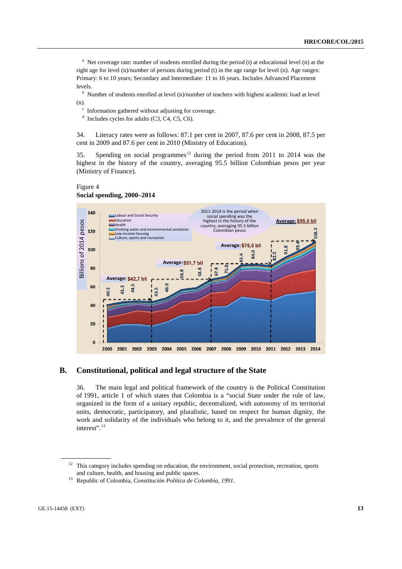<sup>a</sup> Net coverage rate: number of students enrolled during the period (t) at educational level (n) at the right age for level (n)/number of persons during period (t) in the age range for level (n). Age ranges: Primary: 6 to 10 years; Secondary and Intermediate: 11 to 16 years. Includes Advanced Placement levels.

*b* Number of students enrolled at level (n)/number of teachers with highest academic load at level (n).

*c* Information gathered without adjusting for coverage.

*d* Includes cycles for adults (C3, C4, C5, C6).

34. Literacy rates were as follows: 87.1 per cent in 2007, 87.6 per cent in 2008, 87.5 per cent in 2009 and 87.6 per cent in 2010 (Ministry of Education).

35. Spending on social programmes<sup>[12](#page-12-0)</sup> during the period from 2011 to 2014 was the highest in the history of the country, averaging 95.5 billion Colombian pesos per year (Ministry of Finance).

#### Figure 4 **Social spending, 2000–2014**



## **B. Constitutional, political and legal structure of the State**

36. The main legal and political framework of the country is the Political Constitution of 1991, article 1 of which states that Colombia is a "social State under the rule of law, organized in the form of a unitary republic, decentralized, with autonomy of its territorial units, democratic, participatory, and pluralistic, based on respect for human dignity, the work and solidarity of the individuals who belong to it, and the prevalence of the general interest". [13](#page-12-1)

<span id="page-12-0"></span> $12$  This category includes spending on education, the environment, social protection, recreation, sports and culture, health, and housing and public spaces.

<span id="page-12-1"></span><sup>13</sup> Republic of Colombia, *Constitución Política de Colombia, 1991*.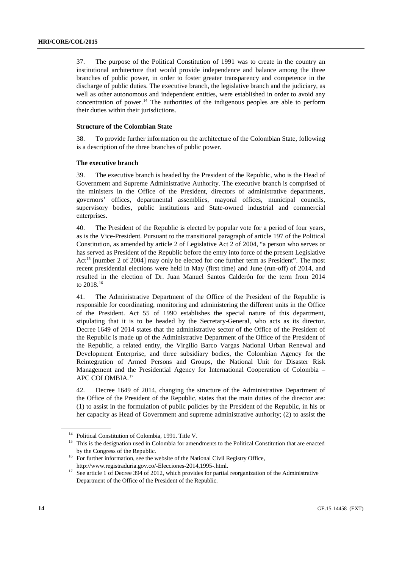37. The purpose of the Political Constitution of 1991 was to create in the country an institutional architecture that would provide independence and balance among the three branches of public power, in order to foster greater transparency and competence in the discharge of public duties. The executive branch, the legislative branch and the judiciary, as well as other autonomous and independent entities, were established in order to avoid any concentration of power.<sup>[14](#page-13-0)</sup> The authorities of the indigenous peoples are able to perform their duties within their jurisdictions.

#### **Structure of the Colombian State**

38. To provide further information on the architecture of the Colombian State, following is a description of the three branches of public power.

#### **The executive branch**

39. The executive branch is headed by the President of the Republic, who is the Head of Government and Supreme Administrative Authority. The executive branch is comprised of the ministers in the Office of the President, directors of administrative departments, governors' offices, departmental assemblies, mayoral offices, municipal councils, supervisory bodies, public institutions and State-owned industrial and commercial enterprises.

40. The President of the Republic is elected by popular vote for a period of four years, as is the Vice-President. Pursuant to the transitional paragraph of article 197 of the Political Constitution, as amended by article 2 of Legislative Act 2 of 2004, "a person who serves or has served as President of the Republic before the entry into force of the present Legislative Act<sup>[15](#page-13-1)</sup> [number 2 of 2004] may only be elected for one further term as President". The most recent presidential elections were held in May (first time) and June (run-off) of 2014, and resulted in the election of Dr. Juan Manuel Santos Calderón for the term from 2014 to 2018.[16](#page-13-2)

41. The Administrative Department of the Office of the President of the Republic is responsible for coordinating, monitoring and administering the different units in the Office of the President. Act 55 of 1990 establishes the special nature of this department, stipulating that it is to be headed by the Secretary-General, who acts as its director. Decree 1649 of 2014 states that the administrative sector of the Office of the President of the Republic is made up of the Administrative Department of the Office of the President of the Republic, a related entity, the Virgilio Barco Vargas National Urban Renewal and Development Enterprise, and three subsidiary bodies, the Colombian Agency for the Reintegration of Armed Persons and Groups, the National Unit for Disaster Risk Management and the Presidential Agency for International Cooperation of Colombia – APC COLOMBIA.[17](#page-13-3)

42. Decree 1649 of 2014, changing the structure of the Administrative Department of the Office of the President of the Republic, states that the main duties of the director are: (1) to assist in the formulation of public policies by the President of the Republic, in his or her capacity as Head of Government and supreme administrative authority; (2) to assist the

<span id="page-13-0"></span><sup>14</sup> Political Constitution of Colombia, 1991. Title V.

<span id="page-13-1"></span><sup>&</sup>lt;sup>15</sup> This is the designation used in Colombia for amendments to the Political Constitution that are enacted by the Congress of the Republic.

<span id="page-13-2"></span><sup>&</sup>lt;sup>16</sup> For further information, see the website of the National Civil Registry Office,

<span id="page-13-3"></span>http://www.registraduria.gov.co/-Elecciones-2014,1995-.html.<br><sup>17</sup> See article 1 of Decree 394 of 2012, which provides for partial reorganization of the Administrative Department of the Office of the President of the Republic.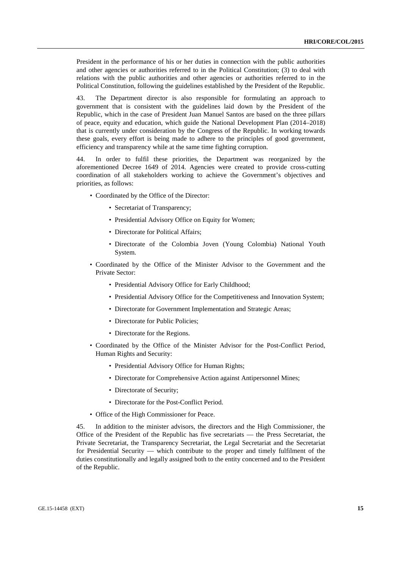President in the performance of his or her duties in connection with the public authorities and other agencies or authorities referred to in the Political Constitution; (3) to deal with relations with the public authorities and other agencies or authorities referred to in the Political Constitution, following the guidelines established by the President of the Republic.

43. The Department director is also responsible for formulating an approach to government that is consistent with the guidelines laid down by the President of the Republic, which in the case of President Juan Manuel Santos are based on the three pillars of peace, equity and education, which guide the National Development Plan (2014–2018) that is currently under consideration by the Congress of the Republic. In working towards these goals, every effort is being made to adhere to the principles of good government, efficiency and transparency while at the same time fighting corruption.

44. In order to fulfil these priorities, the Department was reorganized by the aforementioned Decree 1649 of 2014. Agencies were created to provide cross-cutting coordination of all stakeholders working to achieve the Government's objectives and priorities, as follows:

- Coordinated by the Office of the Director:
	- Secretariat of Transparency;
	- Presidential Advisory Office on Equity for Women;
	- Directorate for Political Affairs:
	- Directorate of the Colombia Joven (Young Colombia) National Youth System.
- Coordinated by the Office of the Minister Advisor to the Government and the Private Sector:
	- Presidential Advisory Office for Early Childhood;
	- Presidential Advisory Office for the Competitiveness and Innovation System;
	- Directorate for Government Implementation and Strategic Areas;
	- Directorate for Public Policies;
	- Directorate for the Regions.
- Coordinated by the Office of the Minister Advisor for the Post-Conflict Period, Human Rights and Security:
	- Presidential Advisory Office for Human Rights;
	- Directorate for Comprehensive Action against Antipersonnel Mines;
	- Directorate of Security;
	- Directorate for the Post-Conflict Period.
- Office of the High Commissioner for Peace.

45. In addition to the minister advisors, the directors and the High Commissioner, the Office of the President of the Republic has five secretariats — the Press Secretariat, the Private Secretariat, the Transparency Secretariat, the Legal Secretariat and the Secretariat for Presidential Security — which contribute to the proper and timely fulfilment of the duties constitutionally and legally assigned both to the entity concerned and to the President of the Republic.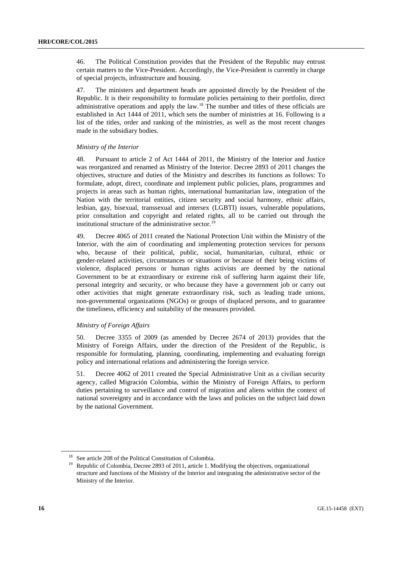46. The Political Constitution provides that the President of the Republic may entrust certain matters to the Vice-President. Accordingly, the Vice-President is currently in charge of special projects, infrastructure and housing.

47. The ministers and department heads are appointed directly by the President of the Republic. It is their responsibility to formulate policies pertaining to their portfolio, direct administrative operations and apply the law.<sup>[18](#page-15-0)</sup> The number and titles of these officials are established in Act 1444 of 2011, which sets the number of ministries at 16. Following is a list of the titles, order and ranking of the ministries, as well as the most recent changes made in the subsidiary bodies.

## *Ministry of the Interior*

48. Pursuant to article 2 of Act 1444 of 2011, the Ministry of the Interior and Justice was reorganized and renamed as Ministry of the Interior. Decree 2893 of 2011 changes the objectives, structure and duties of the Ministry and describes its functions as follows: To formulate, adopt, direct, coordinate and implement public policies, plans, programmes and projects in areas such as human rights, international humanitarian law, integration of the Nation with the territorial entities, citizen security and social harmony, ethnic affairs, lesbian, gay, bisexual, transsexual and intersex (LGBTI) issues, vulnerable populations, prior consultation and copyright and related rights, all to be carried out through the institutional structure of the administrative sector.<sup>[19](#page-15-1)</sup>

49. Decree 4065 of 2011 created the National Protection Unit within the Ministry of the Interior, with the aim of coordinating and implementing protection services for persons who, because of their political, public, social, humanitarian, cultural, ethnic or gender-related activities, circumstances or situations or because of their being victims of violence, displaced persons or human rights activists are deemed by the national Government to be at extraordinary or extreme risk of suffering harm against their life, personal integrity and security, or who because they have a government job or carry out other activities that might generate extraordinary risk, such as leading trade unions, non-governmental organizations (NGOs) or groups of displaced persons, and to guarantee the timeliness, efficiency and suitability of the measures provided.

## *Ministry of Foreign Affairs*

50. Decree 3355 of 2009 (as amended by Decree 2674 of 2013) provides that the Ministry of Foreign Affairs, under the direction of the President of the Republic, is responsible for formulating, planning, coordinating, implementing and evaluating foreign policy and international relations and administering the foreign service.

51. Decree 4062 of 2011 created the Special Administrative Unit as a civilian security agency, called Migración Colombia, within the Ministry of Foreign Affairs, to perform duties pertaining to surveillance and control of migration and aliens within the context of national sovereignty and in accordance with the laws and policies on the subject laid down by the national Government.

<span id="page-15-1"></span><span id="page-15-0"></span><sup>18</sup> See article 208 of the Political Constitution of Colombia.

<sup>&</sup>lt;sup>19</sup> Republic of Colombia, Decree 2893 of 2011, article 1. Modifying the objectives, organizational structure and functions of the Ministry of the Interior and integrating the administrative sector of the Ministry of the Interior.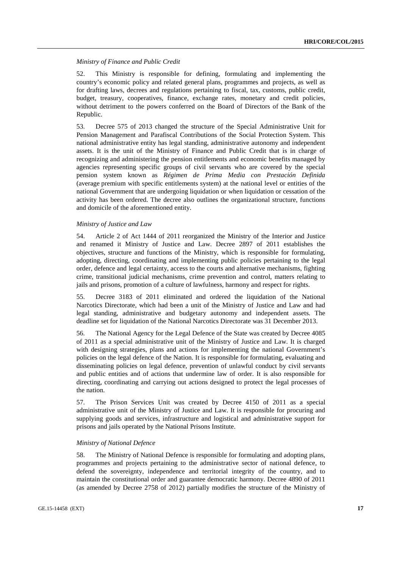#### *Ministry of Finance and Public Credit*

52. This Ministry is responsible for defining, formulating and implementing the country's economic policy and related general plans, programmes and projects, as well as for drafting laws, decrees and regulations pertaining to fiscal, tax, customs, public credit, budget, treasury, cooperatives, finance, exchange rates, monetary and credit policies, without detriment to the powers conferred on the Board of Directors of the Bank of the Republic.

53. Decree 575 of 2013 changed the structure of the Special Administrative Unit for Pension Management and Parafiscal Contributions of the Social Protection System. This national administrative entity has legal standing, administrative autonomy and independent assets. It is the unit of the Ministry of Finance and Public Credit that is in charge of recognizing and administering the pension entitlements and economic benefits managed by agencies representing specific groups of civil servants who are covered by the special pension system known as *Régimen de Prima Media con Prestación Definida* (average premium with specific entitlements system) at the national level or entities of the national Government that are undergoing liquidation or when liquidation or cessation of the activity has been ordered. The decree also outlines the organizational structure, functions and domicile of the aforementioned entity.

#### *Ministry of Justice and Law*

54. Article 2 of Act 1444 of 2011 reorganized the Ministry of the Interior and Justice and renamed it Ministry of Justice and Law. Decree 2897 of 2011 establishes the objectives, structure and functions of the Ministry, which is responsible for formulating, adopting, directing, coordinating and implementing public policies pertaining to the legal order, defence and legal certainty, access to the courts and alternative mechanisms, fighting crime, transitional judicial mechanisms, crime prevention and control, matters relating to jails and prisons, promotion of a culture of lawfulness, harmony and respect for rights.

55. Decree 3183 of 2011 eliminated and ordered the liquidation of the National Narcotics Directorate, which had been a unit of the Ministry of Justice and Law and had legal standing, administrative and budgetary autonomy and independent assets. The deadline set for liquidation of the National Narcotics Directorate was 31 December 2013.

56. The National Agency for the Legal Defence of the State was created by Decree 4085 of 2011 as a special administrative unit of the Ministry of Justice and Law. It is charged with designing strategies, plans and actions for implementing the national Government's policies on the legal defence of the Nation. It is responsible for formulating, evaluating and disseminating policies on legal defence, prevention of unlawful conduct by civil servants and public entities and of actions that undermine law of order. It is also responsible for directing, coordinating and carrying out actions designed to protect the legal processes of the nation.

57. The Prison Services Unit was created by Decree 4150 of 2011 as a special administrative unit of the Ministry of Justice and Law. It is responsible for procuring and supplying goods and services, infrastructure and logistical and administrative support for prisons and jails operated by the National Prisons Institute.

#### *Ministry of National Defence*

58. The Ministry of National Defence is responsible for formulating and adopting plans, programmes and projects pertaining to the administrative sector of national defence, to defend the sovereignty, independence and territorial integrity of the country, and to maintain the constitutional order and guarantee democratic harmony. Decree 4890 of 2011 (as amended by Decree 2758 of 2012) partially modifies the structure of the Ministry of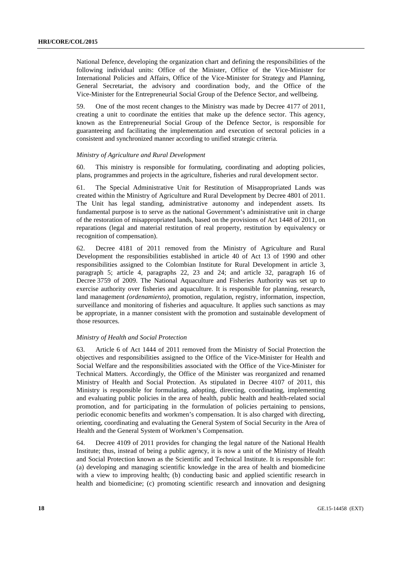National Defence, developing the organization chart and defining the responsibilities of the following individual units: Office of the Minister, Office of the Vice-Minister for International Policies and Affairs, Office of the Vice-Minister for Strategy and Planning, General Secretariat, the advisory and coordination body, and the Office of the Vice-Minister for the Entrepreneurial Social Group of the Defence Sector, and wellbeing.

59. One of the most recent changes to the Ministry was made by Decree 4177 of 2011, creating a unit to coordinate the entities that make up the defence sector. This agency, known as the Entrepreneurial Social Group of the Defence Sector, is responsible for guaranteeing and facilitating the implementation and execution of sectoral policies in a consistent and synchronized manner according to unified strategic criteria.

#### *Ministry of Agriculture and Rural Development*

60. This ministry is responsible for formulating, coordinating and adopting policies, plans, programmes and projects in the agriculture, fisheries and rural development sector.

61. The Special Administrative Unit for Restitution of Misappropriated Lands was created within the Ministry of Agriculture and Rural Development by Decree 4801 of 2011. The Unit has legal standing, administrative autonomy and independent assets. Its fundamental purpose is to serve as the national Government's administrative unit in charge of the restoration of misappropriated lands, based on the provisions of Act 1448 of 2011, on reparations (legal and material restitution of real property, restitution by equivalency or recognition of compensation).

62. Decree 4181 of 2011 removed from the Ministry of Agriculture and Rural Development the responsibilities established in article 40 of Act 13 of 1990 and other responsibilities assigned to the Colombian Institute for Rural Development in article 3, paragraph 5; article 4, paragraphs 22, 23 and 24; and article 32, paragraph 16 of Decree 3759 of 2009. The National Aquaculture and Fisheries Authority was set up to exercise authority over fisheries and aquaculture. It is responsible for planning, research, land management *(ordenamiento)*, promotion, regulation, registry, information, inspection, surveillance and monitoring of fisheries and aquaculture. It applies such sanctions as may be appropriate, in a manner consistent with the promotion and sustainable development of those resources.

#### *Ministry of Health and Social Protection*

63. Article 6 of Act 1444 of 2011 removed from the Ministry of Social Protection the objectives and responsibilities assigned to the Office of the Vice-Minister for Health and Social Welfare and the responsibilities associated with the Office of the Vice-Minister for Technical Matters. Accordingly, the Office of the Minister was reorganized and renamed Ministry of Health and Social Protection. As stipulated in Decree 4107 of 2011, this Ministry is responsible for formulating, adopting, directing, coordinating, implementing and evaluating public policies in the area of health, public health and health-related social promotion, and for participating in the formulation of policies pertaining to pensions, periodic economic benefits and workmen's compensation. It is also charged with directing, orienting, coordinating and evaluating the General System of Social Security in the Area of Health and the General System of Workmen's Compensation.

64. Decree 4109 of 2011 provides for changing the legal nature of the National Health Institute; thus, instead of being a public agency, it is now a unit of the Ministry of Health and Social Protection known as the Scientific and Technical Institute. It is responsible for: (a) developing and managing scientific knowledge in the area of health and biomedicine with a view to improving health; (b) conducting basic and applied scientific research in health and biomedicine; (c) promoting scientific research and innovation and designing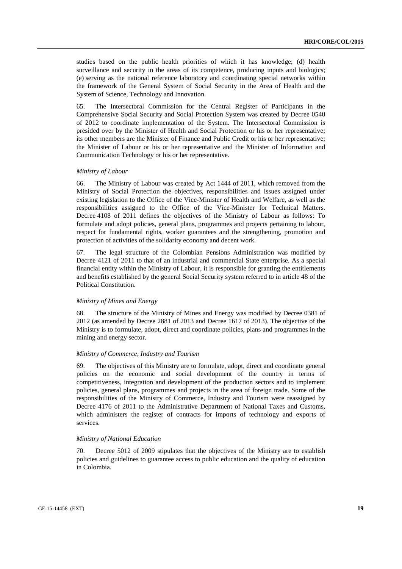studies based on the public health priorities of which it has knowledge; (d) health surveillance and security in the areas of its competence, producing inputs and biologics; (e) serving as the national reference laboratory and coordinating special networks within the framework of the General System of Social Security in the Area of Health and the System of Science, Technology and Innovation.

65. The Intersectoral Commission for the Central Register of Participants in the Comprehensive Social Security and Social Protection System was created by Decree 0540 of 2012 to coordinate implementation of the System. The Intersectoral Commission is presided over by the Minister of Health and Social Protection or his or her representative; its other members are the Minister of Finance and Public Credit or his or her representative; the Minister of Labour or his or her representative and the Minister of Information and Communication Technology or his or her representative.

#### *Ministry of Labour*

66. The Ministry of Labour was created by Act 1444 of 2011, which removed from the Ministry of Social Protection the objectives, responsibilities and issues assigned under existing legislation to the Office of the Vice-Minister of Health and Welfare, as well as the responsibilities assigned to the Office of the Vice-Minister for Technical Matters. Decree 4108 of 2011 defines the objectives of the Ministry of Labour as follows: To formulate and adopt policies, general plans, programmes and projects pertaining to labour, respect for fundamental rights, worker guarantees and the strengthening, promotion and protection of activities of the solidarity economy and decent work.

67. The legal structure of the Colombian Pensions Administration was modified by Decree 4121 of 2011 to that of an industrial and commercial State enterprise. As a special financial entity within the Ministry of Labour, it is responsible for granting the entitlements and benefits established by the general Social Security system referred to in article 48 of the Political Constitution.

#### *Ministry of Mines and Energy*

68. The structure of the Ministry of Mines and Energy was modified by Decree 0381 of 2012 (as amended by Decree 2881 of 2013 and Decree 1617 of 2013). The objective of the Ministry is to formulate, adopt, direct and coordinate policies, plans and programmes in the mining and energy sector.

#### *Ministry of Commerce, Industry and Tourism*

69. The objectives of this Ministry are to formulate, adopt, direct and coordinate general policies on the economic and social development of the country in terms of competitiveness, integration and development of the production sectors and to implement policies, general plans, programmes and projects in the area of foreign trade. Some of the responsibilities of the Ministry of Commerce, Industry and Tourism were reassigned by Decree 4176 of 2011 to the Administrative Department of National Taxes and Customs, which administers the register of contracts for imports of technology and exports of services.

#### *Ministry of National Education*

Decree 5012 of 2009 stipulates that the objectives of the Ministry are to establish policies and guidelines to guarantee access to public education and the quality of education in Colombia.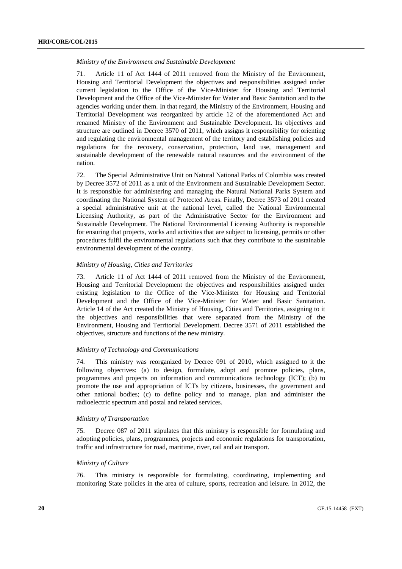#### *Ministry of the Environment and Sustainable Development*

71. Article 11 of Act 1444 of 2011 removed from the Ministry of the Environment, Housing and Territorial Development the objectives and responsibilities assigned under current legislation to the Office of the Vice-Minister for Housing and Territorial Development and the Office of the Vice-Minister for Water and Basic Sanitation and to the agencies working under them. In that regard, the Ministry of the Environment, Housing and Territorial Development was reorganized by article 12 of the aforementioned Act and renamed Ministry of the Environment and Sustainable Development. Its objectives and structure are outlined in Decree 3570 of 2011, which assigns it responsibility for orienting and regulating the environmental management of the territory and establishing policies and regulations for the recovery, conservation, protection, land use, management and sustainable development of the renewable natural resources and the environment of the nation.

72. The Special Administrative Unit on Natural National Parks of Colombia was created by Decree 3572 of 2011 as a unit of the Environment and Sustainable Development Sector. It is responsible for administering and managing the Natural National Parks System and coordinating the National System of Protected Areas. Finally, Decree 3573 of 2011 created a special administrative unit at the national level, called the National Environmental Licensing Authority, as part of the Administrative Sector for the Environment and Sustainable Development. The National Environmental Licensing Authority is responsible for ensuring that projects, works and activities that are subject to licensing, permits or other procedures fulfil the environmental regulations such that they contribute to the sustainable environmental development of the country.

#### *Ministry of Housing, Cities and Territories*

73. Article 11 of Act 1444 of 2011 removed from the Ministry of the Environment, Housing and Territorial Development the objectives and responsibilities assigned under existing legislation to the Office of the Vice-Minister for Housing and Territorial Development and the Office of the Vice-Minister for Water and Basic Sanitation. Article 14 of the Act created the Ministry of Housing, Cities and Territories, assigning to it the objectives and responsibilities that were separated from the Ministry of the Environment, Housing and Territorial Development. Decree 3571 of 2011 established the objectives, structure and functions of the new ministry.

#### *Ministry of Technology and Communications*

74. This ministry was reorganized by Decree 091 of 2010, which assigned to it the following objectives: (a) to design, formulate, adopt and promote policies, plans, programmes and projects on information and communications technology (ICT); (b) to promote the use and appropriation of ICTs by citizens, businesses, the government and other national bodies; (c) to define policy and to manage, plan and administer the radioelectric spectrum and postal and related services.

#### *Ministry of Transportation*

75. Decree 087 of 2011 stipulates that this ministry is responsible for formulating and adopting policies, plans, programmes, projects and economic regulations for transportation, traffic and infrastructure for road, maritime, river, rail and air transport.

#### *Ministry of Culture*

76. This ministry is responsible for formulating, coordinating, implementing and monitoring State policies in the area of culture, sports, recreation and leisure. In 2012, the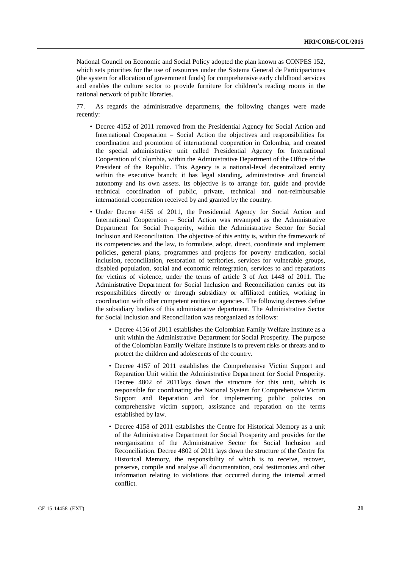National Council on Economic and Social Policy adopted the plan known as CONPES 152, which sets priorities for the use of resources under the Sistema General de Participaciones (the system for allocation of government funds) for comprehensive early childhood services and enables the culture sector to provide furniture for children's reading rooms in the national network of public libraries.

77. As regards the administrative departments, the following changes were made recently:

- Decree 4152 of 2011 removed from the Presidential Agency for Social Action and International Cooperation – Social Action the objectives and responsibilities for coordination and promotion of international cooperation in Colombia, and created the special administrative unit called Presidential Agency for International Cooperation of Colombia, within the Administrative Department of the Office of the President of the Republic. This Agency is a national-level decentralized entity within the executive branch; it has legal standing, administrative and financial autonomy and its own assets. Its objective is to arrange for, guide and provide technical coordination of public, private, technical and non-reimbursable international cooperation received by and granted by the country.
- Under Decree 4155 of 2011, the Presidential Agency for Social Action and International Cooperation – Social Action was revamped as the Administrative Department for Social Prosperity, within the Administrative Sector for Social Inclusion and Reconciliation. The objective of this entity is, within the framework of its competencies and the law, to formulate, adopt, direct, coordinate and implement policies, general plans, programmes and projects for poverty eradication, social inclusion, reconciliation, restoration of territories, services for vulnerable groups, disabled population, social and economic reintegration, services to and reparations for victims of violence, under the terms of article 3 of Act 1448 of 2011. The Administrative Department for Social Inclusion and Reconciliation carries out its responsibilities directly or through subsidiary or affiliated entities, working in coordination with other competent entities or agencies. The following decrees define the subsidiary bodies of this administrative department. The Administrative Sector for Social Inclusion and Reconciliation was reorganized as follows:
	- Decree 4156 of 2011 establishes the Colombian Family Welfare Institute as a unit within the Administrative Department for Social Prosperity. The purpose of the Colombian Family Welfare Institute is to prevent risks or threats and to protect the children and adolescents of the country.
	- Decree 4157 of 2011 establishes the Comprehensive Victim Support and Reparation Unit within the Administrative Department for Social Prosperity. Decree 4802 of 2011lays down the structure for this unit, which is responsible for coordinating the National System for Comprehensive Victim Support and Reparation and for implementing public policies on comprehensive victim support, assistance and reparation on the terms established by law.
	- Decree 4158 of 2011 establishes the Centre for Historical Memory as a unit of the Administrative Department for Social Prosperity and provides for the reorganization of the Administrative Sector for Social Inclusion and Reconciliation. Decree 4802 of 2011 lays down the structure of the Centre for Historical Memory, the responsibility of which is to receive, recover, preserve, compile and analyse all documentation, oral testimonies and other information relating to violations that occurred during the internal armed conflict.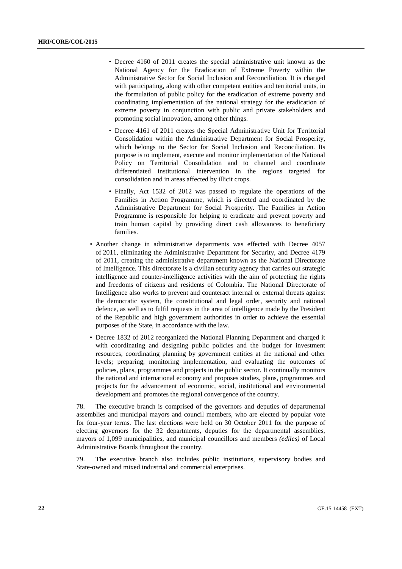- Decree 4160 of 2011 creates the special administrative unit known as the National Agency for the Eradication of Extreme Poverty within the Administrative Sector for Social Inclusion and Reconciliation. It is charged with participating, along with other competent entities and territorial units, in the formulation of public policy for the eradication of extreme poverty and coordinating implementation of the national strategy for the eradication of extreme poverty in conjunction with public and private stakeholders and promoting social innovation, among other things.
- Decree 4161 of 2011 creates the Special Administrative Unit for Territorial Consolidation within the Administrative Department for Social Prosperity, which belongs to the Sector for Social Inclusion and Reconciliation. Its purpose is to implement, execute and monitor implementation of the National Policy on Territorial Consolidation and to channel and coordinate differentiated institutional intervention in the regions targeted for consolidation and in areas affected by illicit crops.
- Finally, Act 1532 of 2012 was passed to regulate the operations of the Families in Action Programme, which is directed and coordinated by the Administrative Department for Social Prosperity. The Families in Action Programme is responsible for helping to eradicate and prevent poverty and train human capital by providing direct cash allowances to beneficiary families.
- Another change in administrative departments was effected with Decree 4057 of 2011, eliminating the Administrative Department for Security, and Decree 4179 of 2011, creating the administrative department known as the National Directorate of Intelligence. This directorate is a civilian security agency that carries out strategic intelligence and counter-intelligence activities with the aim of protecting the rights and freedoms of citizens and residents of Colombia. The National Directorate of Intelligence also works to prevent and counteract internal or external threats against the democratic system, the constitutional and legal order, security and national defence, as well as to fulfil requests in the area of intelligence made by the President of the Republic and high government authorities in order to achieve the essential purposes of the State, in accordance with the law.
- Decree 1832 of 2012 reorganized the National Planning Department and charged it with coordinating and designing public policies and the budget for investment resources, coordinating planning by government entities at the national and other levels; preparing, monitoring implementation, and evaluating the outcomes of policies, plans, programmes and projects in the public sector. It continually monitors the national and international economy and proposes studies, plans, programmes and projects for the advancement of economic, social, institutional and environmental development and promotes the regional convergence of the country.

78. The executive branch is comprised of the governors and deputies of departmental assemblies and municipal mayors and council members, who are elected by popular vote for four-year terms. The last elections were held on 30 October 2011 for the purpose of electing governors for the 32 departments, deputies for the departmental assemblies, mayors of 1,099 municipalities, and municipal councillors and members *(ediles)* of Local Administrative Boards throughout the country.

79. The executive branch also includes public institutions, supervisory bodies and State-owned and mixed industrial and commercial enterprises.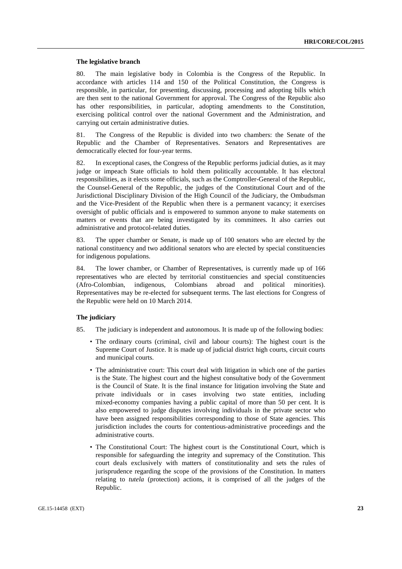#### **The legislative branch**

80. The main legislative body in Colombia is the Congress of the Republic. In accordance with articles 114 and 150 of the Political Constitution, the Congress is responsible, in particular, for presenting, discussing, processing and adopting bills which are then sent to the national Government for approval. The Congress of the Republic also has other responsibilities, in particular, adopting amendments to the Constitution, exercising political control over the national Government and the Administration, and carrying out certain administrative duties.

81. The Congress of the Republic is divided into two chambers: the Senate of the Republic and the Chamber of Representatives. Senators and Representatives are democratically elected for four-year terms.

82. In exceptional cases, the Congress of the Republic performs judicial duties, as it may judge or impeach State officials to hold them politically accountable. It has electoral responsibilities, as it elects some officials, such as the Comptroller-General of the Republic, the Counsel-General of the Republic, the judges of the Constitutional Court and of the Jurisdictional Disciplinary Division of the High Council of the Judiciary, the Ombudsman and the Vice-President of the Republic when there is a permanent vacancy; it exercises oversight of public officials and is empowered to summon anyone to make statements on matters or events that are being investigated by its committees. It also carries out administrative and protocol-related duties.

83. The upper chamber or Senate, is made up of 100 senators who are elected by the national constituency and two additional senators who are elected by special constituencies for indigenous populations.

84. The lower chamber, or Chamber of Representatives, is currently made up of 166 representatives who are elected by territorial constituencies and special constituencies (Afro-Colombian, indigenous, Colombians abroad and political minorities). (Afro-Colombian, indigenous, Colombians abroad and political minorities). Representatives may be re-elected for subsequent terms. The last elections for Congress of the Republic were held on 10 March 2014.

#### **The judiciary**

- 85. The judiciary is independent and autonomous. It is made up of the following bodies:
	- The ordinary courts (criminal, civil and labour courts): The highest court is the Supreme Court of Justice. It is made up of judicial district high courts, circuit courts and municipal courts.
	- The administrative court: This court deal with litigation in which one of the parties is the State. The highest court and the highest consultative body of the Government is the Council of State. It is the final instance for litigation involving the State and private individuals or in cases involving two state entities, including mixed-economy companies having a public capital of more than 50 per cent. It is also empowered to judge disputes involving individuals in the private sector who have been assigned responsibilities corresponding to those of State agencies. This jurisdiction includes the courts for contentious-administrative proceedings and the administrative courts.
	- The Constitutional Court: The highest court is the Constitutional Court, which is responsible for safeguarding the integrity and supremacy of the Constitution. This court deals exclusively with matters of constitutionality and sets the rules of jurisprudence regarding the scope of the provisions of the Constitution. In matters relating to *tutela* (protection) actions, it is comprised of all the judges of the Republic.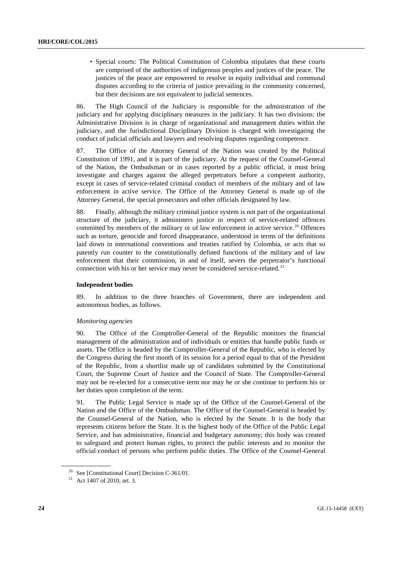• Special courts: The Political Constitution of Colombia stipulates that these courts are comprised of the authorities of indigenous peoples and justices of the peace. The justices of the peace are empowered to resolve in equity individual and communal disputes according to the criteria of justice prevailing in the community concerned, but their decisions are not equivalent to judicial sentences.

86. The High Council of the Judiciary is responsible for the administration of the judiciary and for applying disciplinary measures in the judiciary. It has two divisions: the Administrative Division is in charge of organizational and management duties within the judiciary, and the Jurisdictional Disciplinary Division is charged with investigating the conduct of judicial officials and lawyers and resolving disputes regarding competence.

87. The Office of the Attorney General of the Nation was created by the Political Constitution of 1991, and it is part of the judiciary. At the request of the Counsel-General of the Nation, the Ombudsman or in cases reported by a public official, it must bring investigate and charges against the alleged perpetrators before a competent authority, except in cases of service-related criminal conduct of members of the military and of law enforcement in active service. The Office of the Attorney General is made up of the Attorney General, the special prosecutors and other officials designated by law.

88. Finally, although the military criminal justice system is not part of the organizational structure of the judiciary, it administers justice in respect of service-related offences committed by members of the military or of law enforcement in active service.<sup>[20](#page-23-0)</sup> Offences such as torture, genocide and forced disappearance, understood in terms of the definitions laid down in international conventions and treaties ratified by Colombia, or acts that so patently run counter to the constitutionally defined functions of the military and of law enforcement that their commission, in and of itself, severs the perpetrator's functional connection with his or her service may never be considered service-related.<sup>[21](#page-23-1)</sup>

## **Independent bodies**

89. In addition to the three branches of Government, there are independent and autonomous bodies, as follows.

## *Monitoring agencies*

90. The Office of the Comptroller-General of the Republic monitors the financial management of the administration and of individuals or entities that handle public funds or assets. The Office is headed by the Comptroller-General of the Republic, who is elected by the Congress during the first month of its session for a period equal to that of the President of the Republic, from a shortlist made up of candidates submitted by the Constitutional Court, the Supreme Court of Justice and the Council of State. The Comptroller-General may not be re-elected for a consecutive term nor may he or she continue to perform his or her duties upon completion of the term.

91. The Public Legal Service is made up of the Office of the Counsel-General of the Nation and the Office of the Ombudsman. The Office of the Counsel-General is headed by the Counsel-General of the Nation, who is elected by the Senate. It is the body that represents citizens before the State. It is the highest body of the Office of the Public Legal Service, and has administrative, financial and budgetary autonomy; this body was created to safeguard and protect human rights, to protect the public interests and to monitor the official conduct of persons who perform public duties. The Office of the Counsel-General

<span id="page-23-0"></span><sup>&</sup>lt;sup>20</sup> See [Constitutional Court] Decision C-361/01.

<span id="page-23-1"></span><sup>21</sup> Act 1407 of 2010, art. 3.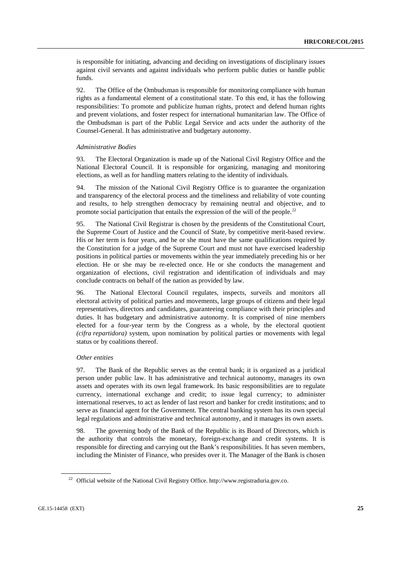is responsible for initiating, advancing and deciding on investigations of disciplinary issues against civil servants and against individuals who perform public duties or handle public funds.

92. The Office of the Ombudsman is responsible for monitoring compliance with human rights as a fundamental element of a constitutional state. To this end, it has the following responsibilities: To promote and publicize human rights, protect and defend human rights and prevent violations, and foster respect for international humanitarian law. The Office of the Ombudsman is part of the Public Legal Service and acts under the authority of the Counsel-General. It has administrative and budgetary autonomy.

#### *Administrative Bodies*

93. The Electoral Organization is made up of the National Civil Registry Office and the National Electoral Council. It is responsible for organizing, managing and monitoring elections, as well as for handling matters relating to the identity of individuals.

94. The mission of the National Civil Registry Office is to guarantee the organization and transparency of the electoral process and the timeliness and reliability of vote counting and results, to help strengthen democracy by remaining neutral and objective, and to promote social participation that entails the expression of the will of the people.<sup>[22](#page-24-0)</sup>

95. The National Civil Registrar is chosen by the presidents of the Constitutional Court, the Supreme Court of Justice and the Council of State, by competitive merit-based review. His or her term is four years, and he or she must have the same qualifications required by the Constitution for a judge of the Supreme Court and must not have exercised leadership positions in political parties or movements within the year immediately preceding his or her election. He or she may be re-elected once. He or she conducts the management and organization of elections, civil registration and identification of individuals and may conclude contracts on behalf of the nation as provided by law.

96. The National Electoral Council regulates, inspects, surveils and monitors all electoral activity of political parties and movements, large groups of citizens and their legal representatives, directors and candidates, guaranteeing compliance with their principles and duties. It has budgetary and administrative autonomy. It is comprised of nine members elected for a four-year term by the Congress as a whole, by the electoral quotient *(cifra repartidora)* system, upon nomination by political parties or movements with legal status or by coalitions thereof.

#### *Other entities*

97. The Bank of the Republic serves as the central bank; it is organized as a juridical person under public law. It has administrative and technical autonomy, manages its own assets and operates with its own legal framework. Its basic responsibilities are to regulate currency, international exchange and credit; to issue legal currency; to administer international reserves, to act as lender of last resort and banker for credit institutions; and to serve as financial agent for the Government. The central banking system has its own special legal regulations and administrative and technical autonomy, and it manages its own assets.

98. The governing body of the Bank of the Republic is its Board of Directors, which is the authority that controls the monetary, foreign-exchange and credit systems. It is responsible for directing and carrying out the Bank's responsibilities. It has seven members, including the Minister of Finance, who presides over it. The Manager of the Bank is chosen

<span id="page-24-0"></span><sup>22</sup> Official website of the National Civil Registry Office. http://www.registraduria.gov.co.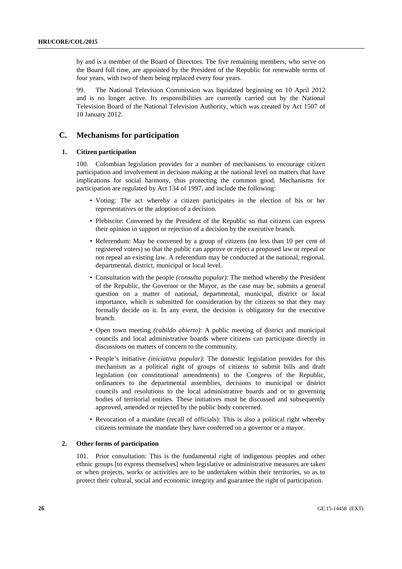by and is a member of the Board of Directors. The five remaining members, who serve on the Board full time, are appointed by the President of the Republic for renewable terms of four years, with two of them being replaced every four years.

99. The National Television Commission was liquidated beginning on 10 April 2012 and is no longer active. Its responsibilities are currently carried out by the National Television Board of the National Television Authority, which was created by Act 1507 of 10 January 2012.

## **C. Mechanisms for participation**

## **1. Citizen participation**

100. Colombian legislation provides for a number of mechanisms to encourage citizen participation and involvement in decision making at the national level on matters that have implications for social harmony, thus protecting the common good. Mechanisms for participation are regulated by Act 134 of 1997, and include the following:

- Voting: The act whereby a citizen participates in the election of his or her representatives or the adoption of a decision.
- Plebiscite: Convened by the President of the Republic so that citizens can express their opinion in support or rejection of a decision by the executive branch.
- Referendum: May be convened by a group of citizens (no less than 10 per cent of registered voters) so that the public can approve or reject a proposed law or repeal or not repeal an existing law. A referendum may be conducted at the national, regional, departmental, district, municipal or local level.
- Consultation with the people *(consulta popular)*: The method whereby the President of the Republic, the Governor or the Mayor, as the case may be, submits a general question on a matter of national, departmental, municipal, district or local importance, which is submitted for consideration by the citizens so that they may formally decide on it. In any event, the decision is obligatory for the executive branch.
- Open town meeting *(cabildo abierto)*: A public meeting of district and municipal councils and local administrative boards where citizens can participate directly in discussions on matters of concern to the community.
- People's initiative *(iniciativa popular)*: The domestic legislation provides for this mechanism as a political right of groups of citizens to submit bills and draft legislation (on constitutional amendments) to the Congress of the Republic, ordinances to the departmental assemblies, decisions to municipal or district councils and resolutions to the local administrative boards and or to governing bodies of territorial entities. These initiatives must be discussed and subsequently approved, amended or rejected by the public body concerned.
- Revocation of a mandate (recall of officials): This is also a political right whereby citizens terminate the mandate they have conferred on a governor or a mayor.

#### **2. Other forms of participation**

101. Prior consultation: This is the fundamental right of indigenous peoples and other ethnic groups [to express themselves] when legislative or administrative measures are taken or when projects, works or activities are to be undertaken within their territories, so as to protect their cultural, social and economic integrity and guarantee the right of participation.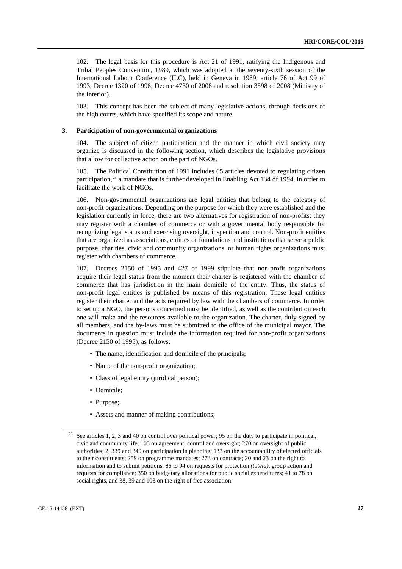102. The legal basis for this procedure is Act 21 of 1991, ratifying the Indigenous and Tribal Peoples Convention, 1989, which was adopted at the seventy-sixth session of the International Labour Conference (ILC), held in Geneva in 1989; article 76 of Act 99 of 1993; Decree 1320 of 1998; Decree 4730 of 2008 and resolution 3598 of 2008 (Ministry of the Interior).

103. This concept has been the subject of many legislative actions, through decisions of the high courts, which have specified its scope and nature.

#### **3. Participation of non-governmental organizations**

104. The subject of citizen participation and the manner in which civil society may organize is discussed in the following section, which describes the legislative provisions that allow for collective action on the part of NGOs.

105. The Political Constitution of 1991 includes 65 articles devoted to regulating citizen participation, $^{23}$  $^{23}$  $^{23}$  a mandate that is further developed in Enabling Act 134 of 1994, in order to facilitate the work of NGOs.

106. Non-governmental organizations are legal entities that belong to the category of non-profit organizations. Depending on the purpose for which they were established and the legislation currently in force, there are two alternatives for registration of non-profits: they may register with a chamber of commerce or with a governmental body responsible for recognizing legal status and exercising oversight, inspection and control. Non-profit entities that are organized as associations, entities or foundations and institutions that serve a public purpose, charities, civic and community organizations, or human rights organizations must register with chambers of commerce.

107. Decrees 2150 of 1995 and 427 of 1999 stipulate that non-profit organizations acquire their legal status from the moment their charter is registered with the chamber of commerce that has jurisdiction in the main domicile of the entity. Thus, the status of non-profit legal entities is published by means of this registration. These legal entities register their charter and the acts required by law with the chambers of commerce. In order to set up a NGO, the persons concerned must be identified, as well as the contribution each one will make and the resources available to the organization. The charter, duly signed by all members, and the by-laws must be submitted to the office of the municipal mayor. The documents in question must include the information required for non-profit organizations (Decree 2150 of 1995), as follows:

- The name, identification and domicile of the principals;
- Name of the non-profit organization;
- Class of legal entity (juridical person);
- Domicile;
- Purpose;
- Assets and manner of making contributions;

<span id="page-26-0"></span>See articles 1, 2, 3 and 40 on control over political power; 95 on the duty to participate in political, civic and community life; 103 on agreement, control and oversight; 270 on oversight of public authorities; 2, 339 and 340 on participation in planning; 133 on the accountability of elected officials to their constituents; 259 on programme mandates; 273 on contracts; 20 and 23 on the right to information and to submit petitions; 86 to 94 on requests for protection *(tutela)*, group action and requests for compliance; 350 on budgetary allocations for public social expenditures; 41 to 78 on social rights, and 38, 39 and 103 on the right of free association.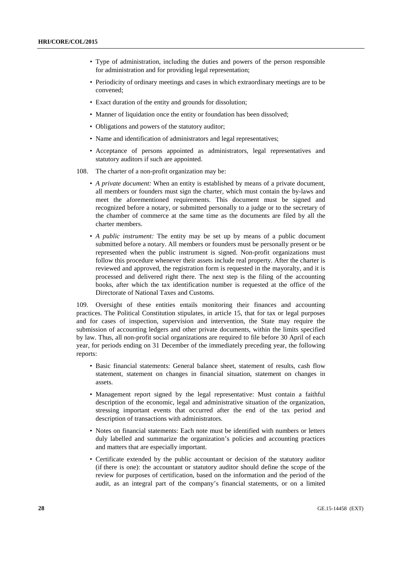- Type of administration, including the duties and powers of the person responsible for administration and for providing legal representation;
- Periodicity of ordinary meetings and cases in which extraordinary meetings are to be convened;
- Exact duration of the entity and grounds for dissolution;
- Manner of liquidation once the entity or foundation has been dissolved;
- Obligations and powers of the statutory auditor;
- Name and identification of administrators and legal representatives;
- Acceptance of persons appointed as administrators, legal representatives and statutory auditors if such are appointed.
- 108. The charter of a non-profit organization may be:
	- *A private document:* When an entity is established by means of a private document, all members or founders must sign the charter, which must contain the by-laws and meet the aforementioned requirements. This document must be signed and recognized before a notary, or submitted personally to a judge or to the secretary of the chamber of commerce at the same time as the documents are filed by all the charter members.
	- *A public instrument:* The entity may be set up by means of a public document submitted before a notary. All members or founders must be personally present or be represented when the public instrument is signed. Non-profit organizations must follow this procedure whenever their assets include real property. After the charter is reviewed and approved, the registration form is requested in the mayoralty, and it is processed and delivered right there. The next step is the filing of the accounting books, after which the tax identification number is requested at the office of the Directorate of National Taxes and Customs.

109. Oversight of these entities entails monitoring their finances and accounting practices. The Political Constitution stipulates, in article 15, that for tax or legal purposes and for cases of inspection, supervision and intervention, the State may require the submission of accounting ledgers and other private documents, within the limits specified by law. Thus, all non-profit social organizations are required to file before 30 April of each year, for periods ending on 31 December of the immediately preceding year, the following reports:

- Basic financial statements: General balance sheet, statement of results, cash flow statement, statement on changes in financial situation, statement on changes in assets.
- Management report signed by the legal representative: Must contain a faithful description of the economic, legal and administrative situation of the organization, stressing important events that occurred after the end of the tax period and description of transactions with administrators.
- Notes on financial statements: Each note must be identified with numbers or letters duly labelled and summarize the organization's policies and accounting practices and matters that are especially important.
- Certificate extended by the public accountant or decision of the statutory auditor (if there is one): the accountant or statutory auditor should define the scope of the review for purposes of certification, based on the information and the period of the audit, as an integral part of the company's financial statements, or on a limited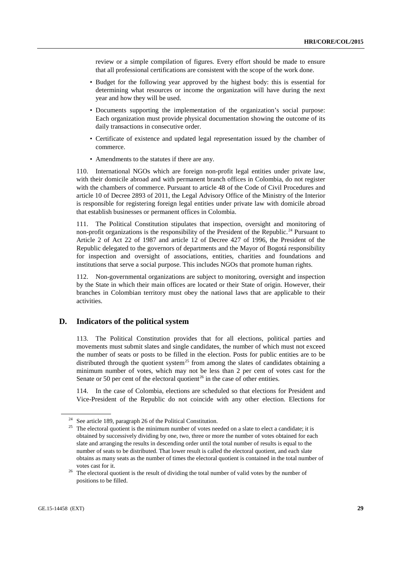review or a simple compilation of figures. Every effort should be made to ensure that all professional certifications are consistent with the scope of the work done.

- Budget for the following year approved by the highest body: this is essential for determining what resources or income the organization will have during the next year and how they will be used.
- Documents supporting the implementation of the organization's social purpose: Each organization must provide physical documentation showing the outcome of its daily transactions in consecutive order.
- Certificate of existence and updated legal representation issued by the chamber of commerce.
- Amendments to the statutes if there are any.

110. International NGOs which are foreign non-profit legal entities under private law, with their domicile abroad and with permanent branch offices in Colombia, do not register with the chambers of commerce. Pursuant to article 48 of the Code of Civil Procedures and article 10 of Decree 2893 of 2011, the Legal Advisory Office of the Ministry of the Interior is responsible for registering foreign legal entities under private law with domicile abroad that establish businesses or permanent offices in Colombia.

111. The Political Constitution stipulates that inspection, oversight and monitoring of non-profit organizations is the responsibility of the President of the Republic.<sup>[24](#page-28-0)</sup> Pursuant to Article 2 of Act 22 of 1987 and article 12 of Decree 427 of 1996, the President of the Republic delegated to the governors of departments and the Mayor of Bogotá responsibility for inspection and oversight of associations, entities, charities and foundations and institutions that serve a social purpose. This includes NGOs that promote human rights.

112. Non-governmental organizations are subject to monitoring, oversight and inspection by the State in which their main offices are located or their State of origin. However, their branches in Colombian territory must obey the national laws that are applicable to their activities.

## **D. Indicators of the political system**

113. The Political Constitution provides that for all elections, political parties and movements must submit slates and single candidates, the number of which must not exceed the number of seats or posts to be filled in the election. Posts for public entities are to be distributed through the quotient system<sup>[25](#page-28-1)</sup> from among the slates of candidates obtaining a minimum number of votes, which may not be less than 2 per cent of votes cast for the Senate or 50 per cent of the electoral quotient<sup>[26](#page-28-2)</sup> in the case of other entities.

114. In the case of Colombia, elections are scheduled so that elections for President and Vice-President of the Republic do not coincide with any other election. Elections for

<span id="page-28-0"></span><sup>24</sup> See article 189, paragraph 26 of the Political Constitution.

<span id="page-28-1"></span><sup>&</sup>lt;sup>25</sup> The electoral quotient is the minimum number of votes needed on a slate to elect a candidate; it is obtained by successively dividing by one, two, three or more the number of votes obtained for each slate and arranging the results in descending order until the total number of results is equal to the number of seats to be distributed. That lower result is called the electoral quotient, and each slate obtains as many seats as the number of times the electoral quotient is contained in the total number of votes cast for it.

<span id="page-28-2"></span><sup>&</sup>lt;sup>26</sup> The electoral quotient is the result of dividing the total number of valid votes by the number of positions to be filled.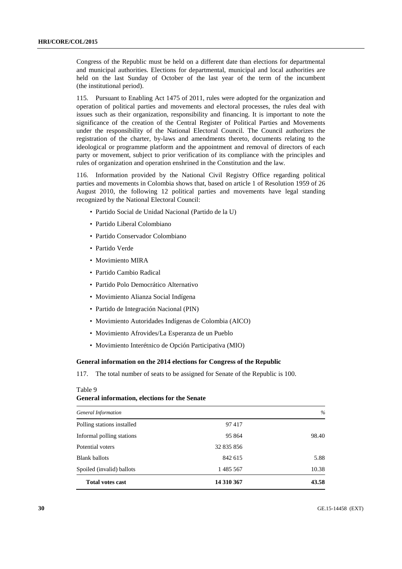Congress of the Republic must be held on a different date than elections for departmental and municipal authorities. Elections for departmental, municipal and local authorities are held on the last Sunday of October of the last year of the term of the incumbent (the institutional period).

115. Pursuant to Enabling Act 1475 of 2011, rules were adopted for the organization and operation of political parties and movements and electoral processes, the rules deal with issues such as their organization, responsibility and financing. It is important to note the significance of the creation of the Central Register of Political Parties and Movements under the responsibility of the National Electoral Council. The Council authorizes the registration of the charter, by-laws and amendments thereto, documents relating to the ideological or programme platform and the appointment and removal of directors of each party or movement, subject to prior verification of its compliance with the principles and rules of organization and operation enshrined in the Constitution and the law.

116. Information provided by the National Civil Registry Office regarding political parties and movements in Colombia shows that, based on article 1 of Resolution 1959 of 26 August 2010, the following 12 political parties and movements have legal standing recognized by the National Electoral Council:

- Partido Social de Unidad Nacional (Partido de la U)
- Partido Liberal Colombiano
- Partido Conservador Colombiano
- Partido Verde
- Movimiento MIRA
- Partido Cambio Radical
- Partido Polo Democrático Alternativo
- Movimiento Alianza Social Indígena
- Partido de Integración Nacional (PIN)
- Movimiento Autoridades Indígenas de Colombia (AICO)
- Movimiento Afrovides/La Esperanza de un Pueblo
- Movimiento Interétnico de Opción Participativa (MIO)

#### **General information on the 2014 elections for Congress of the Republic**

117. The total number of seats to be assigned for Senate of the Republic is 100.

#### Table 9

#### **General information, elections for the Senate**

| General Information        |            | $\%$  |
|----------------------------|------------|-------|
| Polling stations installed | 97417      |       |
| Informal polling stations  | 95 864     | 98.40 |
| Potential voters           | 32 835 856 |       |
| <b>Blank ballots</b>       | 842 615    | 5.88  |
| Spoiled (invalid) ballots  | 1 485 567  | 10.38 |
| <b>Total votes cast</b>    | 14 310 367 | 43.58 |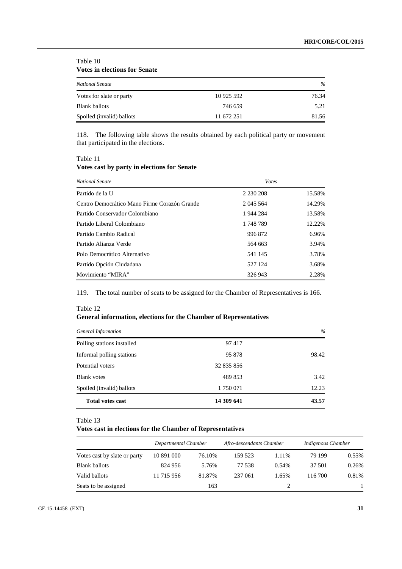| <b>Votes in elections for Senate</b> |            |       |
|--------------------------------------|------------|-------|
| <b>National Senate</b>               |            | $\%$  |
| Votes for slate or party             | 10 925 592 | 76.34 |
| <b>Blank ballots</b>                 | 746 659    | 5.21  |
| Spoiled (invalid) ballots            | 11 672 251 | 81.56 |

118. The following table shows the results obtained by each political party or movement that participated in the elections.

Table 11

Table 10

## **Votes cast by party in elections for Senate**

| <b>National Senate</b>                       | <b>V</b> otes |        |
|----------------------------------------------|---------------|--------|
| Partido de la U                              | 2 2 3 0 2 0 8 | 15.58% |
| Centro Democrático Mano Firme Corazón Grande | 2 045 5 64    | 14.29% |
| Partido Conservador Colombiano               | 1944 284      | 13.58% |
| Partido Liberal Colombiano                   | 1748789       | 12.22% |
| Partido Cambio Radical                       | 996 872       | 6.96%  |
| Partido Alianza Verde                        | 564 663       | 3.94%  |
| Polo Democrático Alternativo                 | 541 145       | 3.78%  |
| Partido Opción Ciudadana                     | 527 124       | 3.68%  |
| Movimiento "MIRA"                            | 326 943       | 2.28%  |

119. The total number of seats to be assigned for the Chamber of Representatives is 166.

| 1001012<br>General information, elections for the Chamber of Representatives |            |       |
|------------------------------------------------------------------------------|------------|-------|
| General Information                                                          |            | $\%$  |
| Polling stations installed                                                   | 97417      |       |
| Informal polling stations                                                    | 95 878     | 98.42 |
| Potential voters                                                             | 32 835 856 |       |
| <b>Blank</b> votes                                                           | 489 853    | 3.42  |
| Spoiled (invalid) ballots                                                    | 1750071    | 12.23 |
| <b>Total votes cast</b>                                                      | 14 309 641 | 43.57 |

# Table 12<br> $\approx$  1 information  $\frac{1}{2}$

#### Table 13

#### **Votes cast in elections for the Chamber of Representatives**

|                              | Departmental Chamber |        | Afro-descendants Chamber |       | Indigenous Chamber |       |
|------------------------------|----------------------|--------|--------------------------|-------|--------------------|-------|
| Votes cast by slate or party | 10 891 000           | 76.10% | 159.523                  | 1.11% | 79 199             | 0.55% |
| <b>Blank ballots</b>         | 824 956              | 5.76%  | 77 538                   | 0.54% | 37 501             | 0.26% |
| Valid ballots                | 11 715 956           | 81.87% | 237 061                  | 1.65% | 116 700            | 0.81% |
| Seats to be assigned         |                      | 163    |                          |       |                    |       |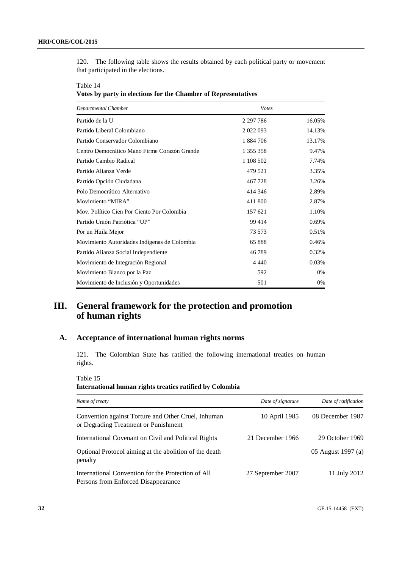120. The following table shows the results obtained by each political party or movement that participated in the elections.

Table 14 **Votes by party in elections for the Chamber of Representatives**

| Departmental Chamber                         | <b>V</b> otes |        |
|----------------------------------------------|---------------|--------|
| Partido de la U                              | 2 2 9 7 7 8 6 | 16.05% |
| Partido Liberal Colombiano                   | 2 0 2 2 0 9 3 | 14.13% |
| Partido Conservador Colombiano               | 1884706       | 13.17% |
| Centro Democrático Mano Firme Corazón Grande | 1 355 358     | 9.47%  |
| Partido Cambio Radical                       | 1 108 502     | 7.74%  |
| Partido Alianza Verde                        | 479 521       | 3.35%  |
| Partido Opción Ciudadana                     | 467728        | 3.26%  |
| Polo Democrático Alternativo                 | 414 346       | 2.89%  |
| Movimiento "MIRA"                            | 411 800       | 2.87%  |
| Mov. Político Cien Por Ciento Por Colombia   | 157 621       | 1.10%  |
| Partido Unión Patriótica "UP"                | 99 4 14       | 0.69%  |
| Por un Huila Mejor                           | 73 573        | 0.51%  |
| Movimiento Autoridades Indígenas de Colombia | 65888         | 0.46%  |
| Partido Alianza Social Independiente         | 46789         | 0.32%  |
| Movimiento de Integración Regional           | 4 4 4 0       | 0.03%  |
| Movimiento Blanco por la Paz                 | 592           | 0%     |
| Movimiento de Inclusión y Oportunidades      | 501           | 0%     |

# **III. General framework for the protection and promotion of human rights**

## **A. Acceptance of international human rights norms**

121. The Colombian State has ratified the following international treaties on human rights.

Table 15

## **International human rights treaties ratified by Colombia**

| Name of treaty                                                                              | Date of signature | Date of ratification |
|---------------------------------------------------------------------------------------------|-------------------|----------------------|
| Convention against Torture and Other Cruel, Inhuman<br>or Degrading Treatment or Punishment | 10 April 1985     | 08 December 1987     |
| International Covenant on Civil and Political Rights                                        | 21 December 1966  | 29 October 1969      |
| Optional Protocol aiming at the abolition of the death<br>penalty                           |                   | 05 August 1997 (a)   |
| International Convention for the Protection of All<br>Persons from Enforced Disappearance   | 27 September 2007 | 11 July 2012         |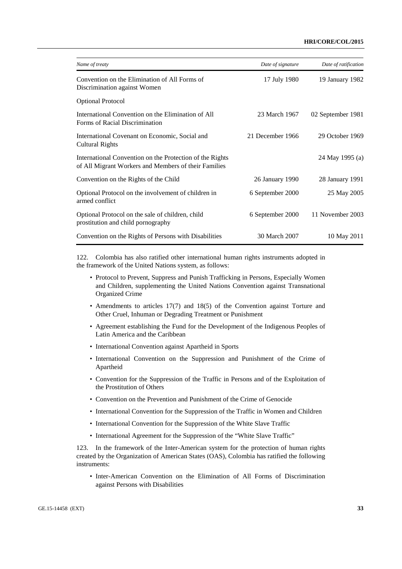#### **HRI/CORE/COL/2015**

| Name of treaty                                                                                                   | Date of signature | Date of ratification |
|------------------------------------------------------------------------------------------------------------------|-------------------|----------------------|
| Convention on the Elimination of All Forms of<br>Discrimination against Women                                    | 17 July 1980      | 19 January 1982      |
| <b>Optional Protocol</b>                                                                                         |                   |                      |
| International Convention on the Elimination of All<br>Forms of Racial Discrimination                             | 23 March 1967     | 02 September 1981    |
| International Covenant on Economic, Social and<br><b>Cultural Rights</b>                                         | 21 December 1966  | 29 October 1969      |
| International Convention on the Protection of the Rights<br>of All Migrant Workers and Members of their Families |                   | 24 May 1995 (a)      |
| Convention on the Rights of the Child                                                                            | 26 January 1990   | 28 January 1991      |
| Optional Protocol on the involvement of children in<br>armed conflict                                            | 6 September 2000  | 25 May 2005          |
| Optional Protocol on the sale of children, child<br>prostitution and child pornography                           | 6 September 2000  | 11 November 2003     |
| Convention on the Rights of Persons with Disabilities                                                            | 30 March 2007     | 10 May 2011          |

122. Colombia has also ratified other international human rights instruments adopted in the framework of the United Nations system, as follows:

- Protocol to Prevent, Suppress and Punish Trafficking in Persons, Especially Women and Children, supplementing the United Nations Convention against Transnational Organized Crime
- Amendments to articles 17(7) and 18(5) of the Convention against Torture and Other Cruel, Inhuman or Degrading Treatment or Punishment
- Agreement establishing the Fund for the Development of the Indigenous Peoples of Latin America and the Caribbean
- International Convention against Apartheid in Sports
- International Convention on the Suppression and Punishment of the Crime of Apartheid
- Convention for the Suppression of the Traffic in Persons and of the Exploitation of the Prostitution of Others
- Convention on the Prevention and Punishment of the Crime of Genocide
- International Convention for the Suppression of the Traffic in Women and Children
- International Convention for the Suppression of the White Slave Traffic
- International Agreement for the Suppression of the "White Slave Traffic"

123. In the framework of the Inter-American system for the protection of human rights created by the Organization of American States (OAS), Colombia has ratified the following instruments:

• Inter-American Convention on the Elimination of All Forms of Discrimination against Persons with Disabilities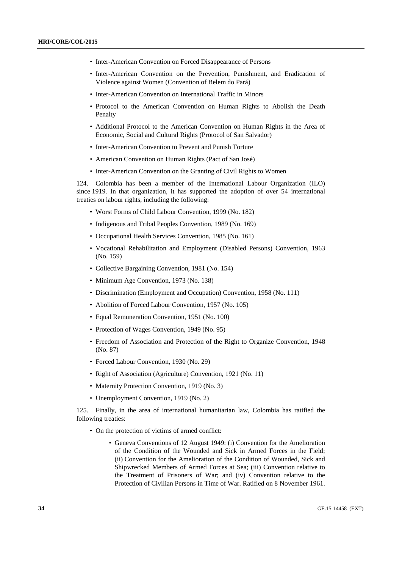- Inter-American Convention on Forced Disappearance of Persons
- Inter-American Convention on the Prevention, Punishment, and Eradication of Violence against Women (Convention of Belem do Pará)
- Inter-American Convention on International Traffic in Minors
- Protocol to the American Convention on Human Rights to Abolish the Death Penalty
- Additional Protocol to the American Convention on Human Rights in the Area of Economic, Social and Cultural Rights (Protocol of San Salvador)
- Inter-American Convention to Prevent and Punish Torture
- American Convention on Human Rights (Pact of San José)
- Inter-American Convention on the Granting of Civil Rights to Women

124. Colombia has been a member of the International Labour Organization (ILO) since 1919. In that organization, it has supported the adoption of over 54 international treaties on labour rights, including the following:

- Worst Forms of Child Labour Convention, 1999 (No. 182)
- Indigenous and Tribal Peoples Convention, 1989 (No. 169)
- Occupational Health Services Convention, 1985 (No. 161)
- Vocational Rehabilitation and Employment (Disabled Persons) Convention, 1963 (No. 159)
- Collective Bargaining Convention, 1981 (No. 154)
- Minimum Age Convention, 1973 (No. 138)
- Discrimination (Employment and Occupation) Convention, 1958 (No. 111)
- Abolition of Forced Labour Convention, 1957 (No. 105)
- Equal Remuneration Convention, 1951 (No. 100)
- Protection of Wages Convention, 1949 (No. 95)
- Freedom of Association and Protection of the Right to Organize Convention, 1948 (No. 87)
- Forced Labour Convention, 1930 (No. 29)
- Right of Association (Agriculture) Convention, 1921 (No. 11)
- Maternity Protection Convention, 1919 (No. 3)
- Unemployment Convention, 1919 (No. 2)

125. Finally, in the area of international humanitarian law, Colombia has ratified the following treaties:

- On the protection of victims of armed conflict:
	- Geneva Conventions of 12 August 1949: (i) Convention for the Amelioration of the Condition of the Wounded and Sick in Armed Forces in the Field; (ii) Convention for the Amelioration of the Condition of Wounded, Sick and Shipwrecked Members of Armed Forces at Sea; (iii) Convention relative to the Treatment of Prisoners of War; and (iv) Convention relative to the Protection of Civilian Persons in Time of War. Ratified on 8 November 1961.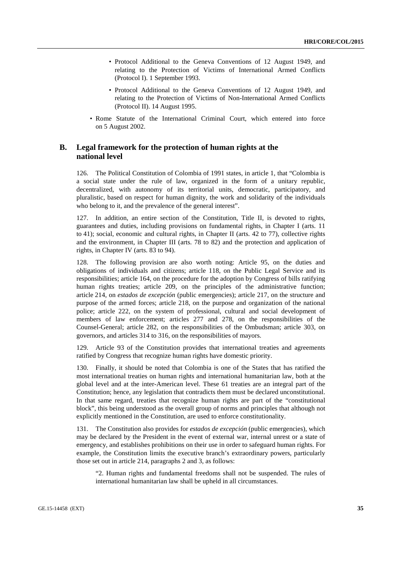- Protocol Additional to the Geneva Conventions of 12 August 1949, and relating to the Protection of Victims of International Armed Conflicts (Protocol I). 1 September 1993.
- Protocol Additional to the Geneva Conventions of 12 August 1949, and relating to the Protection of Victims of Non-International Armed Conflicts (Protocol II). 14 August 1995.
- Rome Statute of the International Criminal Court, which entered into force on 5 August 2002.

## **B. Legal framework for the protection of human rights at the national level**

126. The Political Constitution of Colombia of 1991 states, in article 1, that "Colombia is a social state under the rule of law, organized in the form of a unitary republic, decentralized, with autonomy of its territorial units, democratic, participatory, and pluralistic, based on respect for human dignity, the work and solidarity of the individuals who belong to it, and the prevalence of the general interest".

127. In addition, an entire section of the Constitution, Title II, is devoted to rights, guarantees and duties, including provisions on fundamental rights, in Chapter I (arts. 11 to 41); social, economic and cultural rights, in Chapter II (arts. 42 to 77), collective rights and the environment, in Chapter III (arts. 78 to 82) and the protection and application of rights, in Chapter IV (arts. 83 to 94).

128. The following provision are also worth noting: Article 95, on the duties and obligations of individuals and citizens; article 118, on the Public Legal Service and its responsibilities; article 164, on the procedure for the adoption by Congress of bills ratifying human rights treaties; article 209, on the principles of the administrative function; article 214, on *estados de excepción* (public emergencies); article 217, on the structure and purpose of the armed forces; article 218, on the purpose and organization of the national police; article 222, on the system of professional, cultural and social development of members of law enforcement; articles 277 and 278, on the responsibilities of the Counsel-General; article 282, on the responsibilities of the Ombudsman; article 303, on governors, and articles 314 to 316, on the responsibilities of mayors.

129. Article 93 of the Constitution provides that international treaties and agreements ratified by Congress that recognize human rights have domestic priority.

130. Finally, it should be noted that Colombia is one of the States that has ratified the most international treaties on human rights and international humanitarian law, both at the global level and at the inter-American level. These 61 treaties are an integral part of the Constitution; hence, any legislation that contradicts them must be declared unconstitutional. In that same regard, treaties that recognize human rights are part of the "constitutional block", this being understood as the overall group of norms and principles that although not explicitly mentioned in the Constitution, are used to enforce constitutionality.

131. The Constitution also provides for *estados de excepción* (public emergencies), which may be declared by the President in the event of external war, internal unrest or a state of emergency, and establishes prohibitions on their use in order to safeguard human rights. For example, the Constitution limits the executive branch's extraordinary powers, particularly those set out in article 214, paragraphs 2 and 3, as follows:

"2. Human rights and fundamental freedoms shall not be suspended. The rules of international humanitarian law shall be upheld in all circumstances.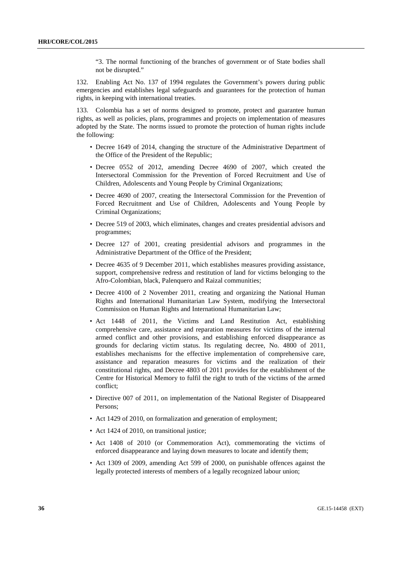"3. The normal functioning of the branches of government or of State bodies shall not be disrupted."

132. Enabling Act No. 137 of 1994 regulates the Government's powers during public emergencies and establishes legal safeguards and guarantees for the protection of human rights, in keeping with international treaties.

133. Colombia has a set of norms designed to promote, protect and guarantee human rights, as well as policies, plans, programmes and projects on implementation of measures adopted by the State. The norms issued to promote the protection of human rights include the following:

- Decree 1649 of 2014, changing the structure of the Administrative Department of the Office of the President of the Republic;
- Decree 0552 of 2012, amending Decree 4690 of 2007, which created the Intersectoral Commission for the Prevention of Forced Recruitment and Use of Children, Adolescents and Young People by Criminal Organizations;
- Decree 4690 of 2007, creating the Intersectoral Commission for the Prevention of Forced Recruitment and Use of Children, Adolescents and Young People by Criminal Organizations;
- Decree 519 of 2003, which eliminates, changes and creates presidential advisors and programmes;
- Decree 127 of 2001, creating presidential advisors and programmes in the Administrative Department of the Office of the President;
- Decree 4635 of 9 December 2011, which establishes measures providing assistance, support, comprehensive redress and restitution of land for victims belonging to the Afro-Colombian, black, Palenquero and Raizal communities;
- Decree 4100 of 2 November 2011, creating and organizing the National Human Rights and International Humanitarian Law System, modifying the Intersectoral Commission on Human Rights and International Humanitarian Law;
- Act 1448 of 2011, the Victims and Land Restitution Act, establishing comprehensive care, assistance and reparation measures for victims of the internal armed conflict and other provisions, and establishing enforced disappearance as grounds for declaring victim status. Its regulating decree, No. 4800 of 2011, establishes mechanisms for the effective implementation of comprehensive care, assistance and reparation measures for victims and the realization of their constitutional rights, and Decree 4803 of 2011 provides for the establishment of the Centre for Historical Memory to fulfil the right to truth of the victims of the armed conflict;
- Directive 007 of 2011, on implementation of the National Register of Disappeared Persons;
- Act 1429 of 2010, on formalization and generation of employment;
- Act 1424 of 2010, on transitional justice;
- Act 1408 of 2010 (or Commemoration Act), commemorating the victims of enforced disappearance and laying down measures to locate and identify them;
- Act 1309 of 2009, amending Act 599 of 2000, on punishable offences against the legally protected interests of members of a legally recognized labour union;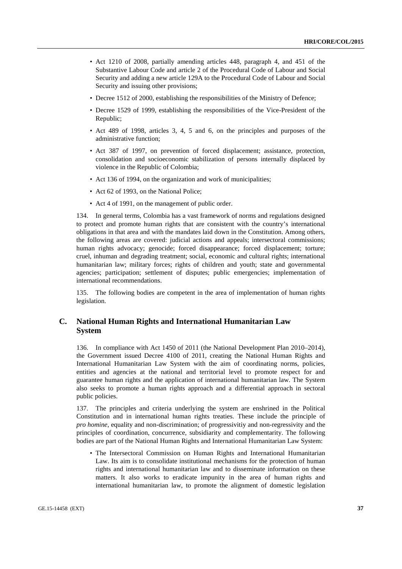- Act 1210 of 2008, partially amending articles 448, paragraph 4, and 451 of the Substantive Labour Code and article 2 of the Procedural Code of Labour and Social Security and adding a new article 129A to the Procedural Code of Labour and Social Security and issuing other provisions;
- Decree 1512 of 2000, establishing the responsibilities of the Ministry of Defence;
- Decree 1529 of 1999, establishing the responsibilities of the Vice-President of the Republic;
- Act 489 of 1998, articles 3, 4, 5 and 6, on the principles and purposes of the administrative function;
- Act 387 of 1997, on prevention of forced displacement; assistance, protection, consolidation and socioeconomic stabilization of persons internally displaced by violence in the Republic of Colombia;
- Act 136 of 1994, on the organization and work of municipalities;
- Act 62 of 1993, on the National Police:
- Act 4 of 1991, on the management of public order.

134. In general terms, Colombia has a vast framework of norms and regulations designed to protect and promote human rights that are consistent with the country's international obligations in that area and with the mandates laid down in the Constitution. Among others, the following areas are covered: judicial actions and appeals; intersectoral commissions; human rights advocacy; genocide; forced disappearance; forced displacement; torture; cruel, inhuman and degrading treatment; social, economic and cultural rights; international humanitarian law; military forces; rights of children and youth; state and governmental agencies; participation; settlement of disputes; public emergencies; implementation of international recommendations.

135. The following bodies are competent in the area of implementation of human rights legislation.

## **C. National Human Rights and International Humanitarian Law System**

136. In compliance with Act 1450 of 2011 (the National Development Plan 2010–2014), the Government issued Decree 4100 of 2011, creating the National Human Rights and International Humanitarian Law System with the aim of coordinating norms, policies, entities and agencies at the national and territorial level to promote respect for and guarantee human rights and the application of international humanitarian law. The System also seeks to promote a human rights approach and a differential approach in sectoral public policies.

137. The principles and criteria underlying the system are enshrined in the Political Constitution and in international human rights treaties. These include the principle of *pro homine*, equality and non-discrimination; of progressivitiy and non-regressivity and the principles of coordination, concurrence, subsidiarity and complementarity. The following bodies are part of the National Human Rights and International Humanitarian Law System:

• The Intersectoral Commission on Human Rights and International Humanitarian Law. Its aim is to consolidate institutional mechanisms for the protection of human rights and international humanitarian law and to disseminate information on these matters. It also works to eradicate impunity in the area of human rights and international humanitarian law, to promote the alignment of domestic legislation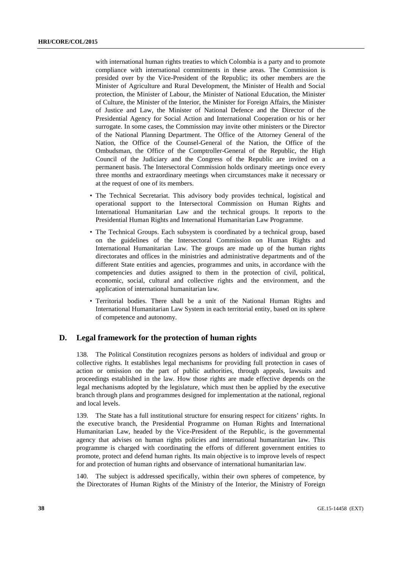with international human rights treaties to which Colombia is a party and to promote compliance with international commitments in these areas. The Commission is presided over by the Vice-President of the Republic; its other members are the Minister of Agriculture and Rural Development, the Minister of Health and Social protection, the Minister of Labour, the Minister of National Education, the Minister of Culture, the Minister of the Interior, the Minister for Foreign Affairs, the Minister of Justice and Law, the Minister of National Defence and the Director of the Presidential Agency for Social Action and International Cooperation or his or her surrogate. In some cases, the Commission may invite other ministers or the Director of the National Planning Department. The Office of the Attorney General of the Nation, the Office of the Counsel-General of the Nation, the Office of the Ombudsman, the Office of the Comptroller-General of the Republic, the High Council of the Judiciary and the Congress of the Republic are invited on a permanent basis. The Intersectoral Commission holds ordinary meetings once every three months and extraordinary meetings when circumstances make it necessary or at the request of one of its members.

- The Technical Secretariat. This advisory body provides technical, logistical and operational support to the Intersectoral Commission on Human Rights and International Humanitarian Law and the technical groups. It reports to the Presidential Human Rights and International Humanitarian Law Programme.
- The Technical Groups. Each subsystem is coordinated by a technical group, based on the guidelines of the Intersectoral Commission on Human Rights and International Humanitarian Law. The groups are made up of the human rights directorates and offices in the ministries and administrative departments and of the different State entities and agencies, programmes and units, in accordance with the competencies and duties assigned to them in the protection of civil, political, economic, social, cultural and collective rights and the environment, and the application of international humanitarian law.
- Territorial bodies. There shall be a unit of the National Human Rights and International Humanitarian Law System in each territorial entity, based on its sphere of competence and autonomy.

## **D. Legal framework for the protection of human rights**

138. The Political Constitution recognizes persons as holders of individual and group or collective rights. It establishes legal mechanisms for providing full protection in cases of action or omission on the part of public authorities, through appeals, lawsuits and proceedings established in the law. How those rights are made effective depends on the legal mechanisms adopted by the legislature, which must then be applied by the executive branch through plans and programmes designed for implementation at the national, regional and local levels.

139. The State has a full institutional structure for ensuring respect for citizens' rights. In the executive branch, the Presidential Programme on Human Rights and International Humanitarian Law, headed by the Vice-President of the Republic, is the governmental agency that advises on human rights policies and international humanitarian law. This programme is charged with coordinating the efforts of different government entities to promote, protect and defend human rights. Its main objective is to improve levels of respect for and protection of human rights and observance of international humanitarian law.

140. The subject is addressed specifically, within their own spheres of competence, by the Directorates of Human Rights of the Ministry of the Interior, the Ministry of Foreign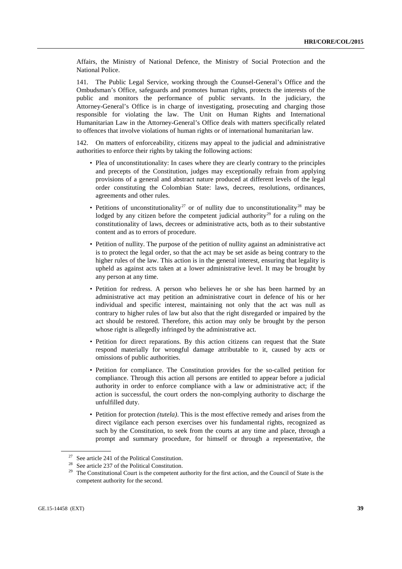Affairs, the Ministry of National Defence, the Ministry of Social Protection and the National Police.

141. The Public Legal Service, working through the Counsel-General's Office and the Ombudsman's Office, safeguards and promotes human rights, protects the interests of the public and monitors the performance of public servants. In the judiciary, the Attorney-General's Office is in charge of investigating, prosecuting and charging those responsible for violating the law. The Unit on Human Rights and International Humanitarian Law in the Attorney-General's Office deals with matters specifically related to offences that involve violations of human rights or of international humanitarian law.

142. On matters of enforceability, citizens may appeal to the judicial and administrative authorities to enforce their rights by taking the following actions:

- Plea of unconstitutionality: In cases where they are clearly contrary to the principles and precepts of the Constitution, judges may exceptionally refrain from applying provisions of a general and abstract nature produced at different levels of the legal order constituting the Colombian State: laws, decrees, resolutions, ordinances, agreements and other rules.
- Petitions of unconstitutionality<sup>[27](#page-38-0)</sup> or of nullity due to unconstitutionality<sup>[28](#page-38-1)</sup> may be lodged by any citizen before the competent judicial authority<sup>[29](#page-38-2)</sup> for a ruling on the constitutionality of laws, decrees or administrative acts, both as to their substantive content and as to errors of procedure.
- Petition of nullity. The purpose of the petition of nullity against an administrative act is to protect the legal order, so that the act may be set aside as being contrary to the higher rules of the law. This action is in the general interest, ensuring that legality is upheld as against acts taken at a lower administrative level. It may be brought by any person at any time.
- Petition for redress. A person who believes he or she has been harmed by an administrative act may petition an administrative court in defence of his or her individual and specific interest, maintaining not only that the act was null as contrary to higher rules of law but also that the right disregarded or impaired by the act should be restored. Therefore, this action may only be brought by the person whose right is allegedly infringed by the administrative act.
- Petition for direct reparations. By this action citizens can request that the State respond materially for wrongful damage attributable to it, caused by acts or omissions of public authorities.
- Petition for compliance. The Constitution provides for the so-called petition for compliance. Through this action all persons are entitled to appear before a judicial authority in order to enforce compliance with a law or administrative act; if the action is successful, the court orders the non-complying authority to discharge the unfulfilled duty.
- Petition for protection *(tutela)*. This is the most effective remedy and arises from the direct vigilance each person exercises over his fundamental rights, recognized as such by the Constitution, to seek from the courts at any time and place, through a prompt and summary procedure, for himself or through a representative, the

<sup>&</sup>lt;sup>27</sup> See article 241 of the Political Constitution.

<span id="page-38-1"></span><span id="page-38-0"></span><sup>28</sup> See article 237 of the Political Constitution.

<span id="page-38-2"></span><sup>&</sup>lt;sup>29</sup> The Constitutional Court is the competent authority for the first action, and the Council of State is the competent authority for the second.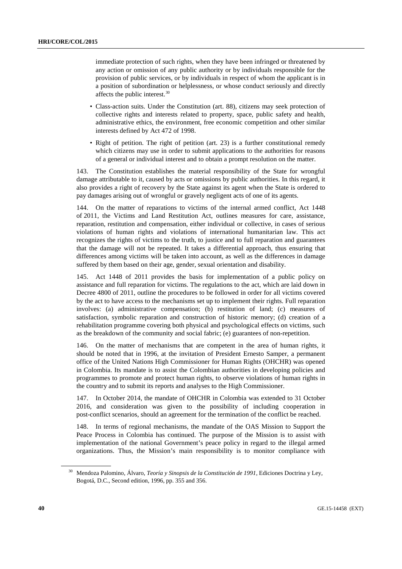immediate protection of such rights, when they have been infringed or threatened by any action or omission of any public authority or by individuals responsible for the provision of public services, or by individuals in respect of whom the applicant is in a position of subordination or helplessness, or whose conduct seriously and directly affects the public interest.[30](#page-39-0)

- Class-action suits. Under the Constitution (art. 88), citizens may seek protection of collective rights and interests related to property, space, public safety and health, administrative ethics, the environment, free economic competition and other similar interests defined by Act 472 of 1998.
- Right of petition. The right of petition (art. 23) is a further constitutional remedy which citizens may use in order to submit applications to the authorities for reasons of a general or individual interest and to obtain a prompt resolution on the matter.

143. The Constitution establishes the material responsibility of the State for wrongful damage attributable to it, caused by acts or omissions by public authorities. In this regard, it also provides a right of recovery by the State against its agent when the State is ordered to pay damages arising out of wrongful or gravely negligent acts of one of its agents.

144. On the matter of reparations to victims of the internal armed conflict, Act 1448 of 2011, the Victims and Land Restitution Act, outlines measures for care, assistance, reparation, restitution and compensation, either individual or collective, in cases of serious violations of human rights and violations of international humanitarian law. This act recognizes the rights of victims to the truth, to justice and to full reparation and guarantees that the damage will not be repeated. It takes a differential approach, thus ensuring that differences among victims will be taken into account, as well as the differences in damage suffered by them based on their age, gender, sexual orientation and disability.

145. Act 1448 of 2011 provides the basis for implementation of a public policy on assistance and full reparation for victims. The regulations to the act, which are laid down in Decree 4800 of 2011, outline the procedures to be followed in order for all victims covered by the act to have access to the mechanisms set up to implement their rights. Full reparation involves: (a) administrative compensation; (b) restitution of land; (c) measures of satisfaction, symbolic reparation and construction of historic memory; (d) creation of a rehabilitation programme covering both physical and psychological effects on victims, such as the breakdown of the community and social fabric; (e) guarantees of non-repetition.

146. On the matter of mechanisms that are competent in the area of human rights, it should be noted that in 1996, at the invitation of President Ernesto Samper, a permanent office of the United Nations High Commissioner for Human Rights (OHCHR) was opened in Colombia. Its mandate is to assist the Colombian authorities in developing policies and programmes to promote and protect human rights, to observe violations of human rights in the country and to submit its reports and analyses to the High Commissioner.

147. In October 2014, the mandate of OHCHR in Colombia was extended to 31 October 2016, and consideration was given to the possibility of including cooperation in post-conflict scenarios, should an agreement for the termination of the conflict be reached.

148. In terms of regional mechanisms, the mandate of the OAS Mission to Support the Peace Process in Colombia has continued. The purpose of the Mission is to assist with implementation of the national Government's peace policy in regard to the illegal armed organizations. Thus, the Mission's main responsibility is to monitor compliance with

<span id="page-39-0"></span><sup>30</sup> Mendoza Palomino, Álvaro, *Teoría y Sinopsis de la Constitución de 1991*, Ediciones Doctrina y Ley, Bogotá, D.C., Second edition, 1996, pp. 355 and 356.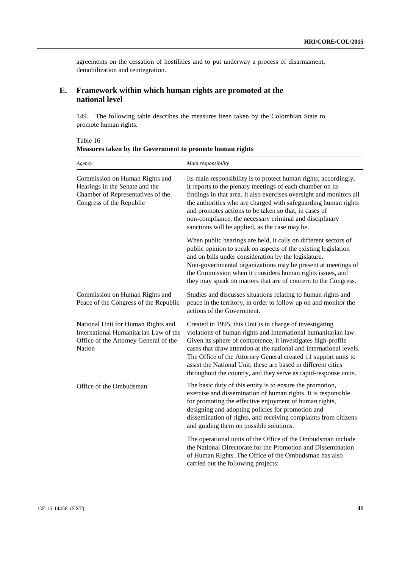agreements on the cessation of hostilities and to put underway a process of disarmament, demobilization and reintegration.

## **E. Framework within which human rights are promoted at the national level**

149. The following table describes the measures been taken by the Colombian State to promote human rights.

Table 16 **Measures taken by the Government to promote human rights**

| Agency                                                                                                                            | Main responsibility                                                                                                                                                                                                                                                                                                                                                                                                                                                     |
|-----------------------------------------------------------------------------------------------------------------------------------|-------------------------------------------------------------------------------------------------------------------------------------------------------------------------------------------------------------------------------------------------------------------------------------------------------------------------------------------------------------------------------------------------------------------------------------------------------------------------|
| Commission on Human Rights and<br>Hearings in the Senate and the<br>Chamber of Representatives of the<br>Congress of the Republic | Its main responsibility is to protect human rights; accordingly,<br>it reports to the plenary meetings of each chamber on its<br>findings in that area. It also exercises oversight and monitors all<br>the authorities who are charged with safeguarding human rights<br>and promotes actions to be taken so that, in cases of<br>non-compliance, the necessary criminal and disciplinary<br>sanctions will be applied, as the case may be.                            |
|                                                                                                                                   | When public hearings are held, it calls on different sectors of<br>public opinion to speak on aspects of the existing legislation<br>and on bills under consideration by the legislature.<br>Non-governmental organizations may be present at meetings of<br>the Commission when it considers human rights issues, and<br>they may speak on matters that are of concern to the Congress.                                                                                |
| Commission on Human Rights and<br>Peace of the Congress of the Republic                                                           | Studies and discusses situations relating to human rights and<br>peace in the territory, in order to follow up on and monitor the<br>actions of the Government.                                                                                                                                                                                                                                                                                                         |
| National Unit for Human Rights and<br>International Humanitarian Law of the<br>Office of the Attorney General of the<br>Nation    | Created in 1995, this Unit is in charge of investigating<br>violations of human rights and International humanitarian law.<br>Given its sphere of competence, it investigates high-profile<br>cases that draw attention at the national and international levels.<br>The Office of the Attorney General created 11 support units to<br>assist the National Unit; these are based in different cities<br>throughout the country, and they serve as rapid-response units. |
| Office of the Ombudsman                                                                                                           | The basic duty of this entity is to ensure the promotion,<br>exercise and dissemination of human rights. It is responsible<br>for promoting the effective enjoyment of human rights,<br>designing and adopting policies for promotion and<br>dissemination of rights, and receiving complaints from citizens<br>and guiding them on possible solutions.                                                                                                                 |
|                                                                                                                                   | The operational units of the Office of the Ombudsman include<br>the National Directorate for the Promotion and Dissemination<br>of Human Rights. The Office of the Ombudsman has also<br>carried out the following projects:                                                                                                                                                                                                                                            |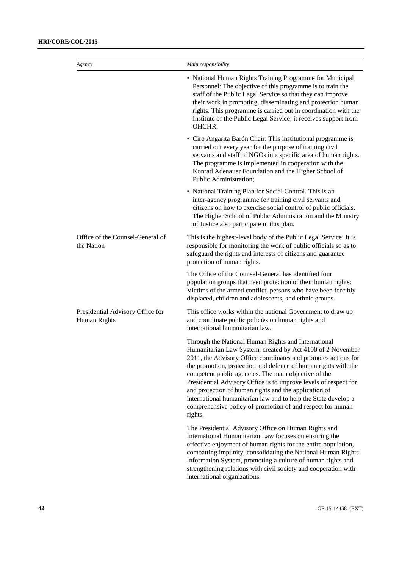| Agency                                           | Main responsibility                                                                                                                                                                                                                                                                                                                                                                                                                                                                                                                                                                   |
|--------------------------------------------------|---------------------------------------------------------------------------------------------------------------------------------------------------------------------------------------------------------------------------------------------------------------------------------------------------------------------------------------------------------------------------------------------------------------------------------------------------------------------------------------------------------------------------------------------------------------------------------------|
|                                                  | • National Human Rights Training Programme for Municipal<br>Personnel: The objective of this programme is to train the<br>staff of the Public Legal Service so that they can improve<br>their work in promoting, disseminating and protection human<br>rights. This programme is carried out in coordination with the<br>Institute of the Public Legal Service; it receives support from<br>OHCHR;                                                                                                                                                                                    |
|                                                  | • Ciro Angarita Barón Chair: This institutional programme is<br>carried out every year for the purpose of training civil<br>servants and staff of NGOs in a specific area of human rights.<br>The programme is implemented in cooperation with the<br>Konrad Adenauer Foundation and the Higher School of<br>Public Administration;                                                                                                                                                                                                                                                   |
|                                                  | • National Training Plan for Social Control. This is an<br>inter-agency programme for training civil servants and<br>citizens on how to exercise social control of public officials.<br>The Higher School of Public Administration and the Ministry<br>of Justice also participate in this plan.                                                                                                                                                                                                                                                                                      |
| Office of the Counsel-General of<br>the Nation   | This is the highest-level body of the Public Legal Service. It is<br>responsible for monitoring the work of public officials so as to<br>safeguard the rights and interests of citizens and guarantee<br>protection of human rights.                                                                                                                                                                                                                                                                                                                                                  |
|                                                  | The Office of the Counsel-General has identified four<br>population groups that need protection of their human rights:<br>Victims of the armed conflict, persons who have been forcibly<br>displaced, children and adolescents, and ethnic groups.                                                                                                                                                                                                                                                                                                                                    |
| Presidential Advisory Office for<br>Human Rights | This office works within the national Government to draw up<br>and coordinate public policies on human rights and<br>international humanitarian law.                                                                                                                                                                                                                                                                                                                                                                                                                                  |
|                                                  | Through the National Human Rights and International<br>Humanitarian Law System, created by Act 4100 of 2 November<br>2011, the Advisory Office coordinates and promotes actions for<br>the promotion, protection and defence of human rights with the<br>competent public agencies. The main objective of the<br>Presidential Advisory Office is to improve levels of respect for<br>and protection of human rights and the application of<br>international humanitarian law and to help the State develop a<br>comprehensive policy of promotion of and respect for human<br>rights. |
|                                                  | The Presidential Advisory Office on Human Rights and<br>International Humanitarian Law focuses on ensuring the<br>effective enjoyment of human rights for the entire population,<br>combatting impunity, consolidating the National Human Rights<br>Information System, promoting a culture of human rights and<br>strengthening relations with civil society and cooperation with<br>international organizations.                                                                                                                                                                    |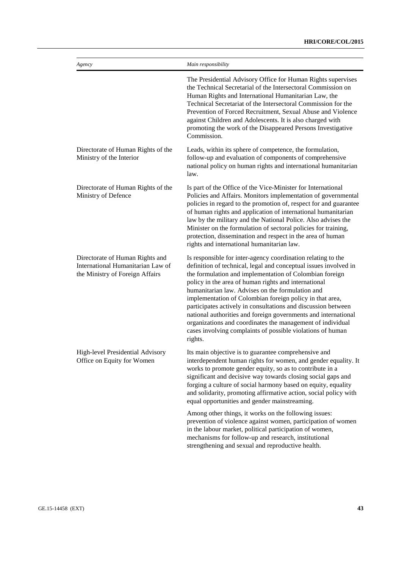| Agency                                                                                                  | Main responsibility                                                                                                                                                                                                                                                                                                                                                                                                                                                                                                                                                                                                                           |
|---------------------------------------------------------------------------------------------------------|-----------------------------------------------------------------------------------------------------------------------------------------------------------------------------------------------------------------------------------------------------------------------------------------------------------------------------------------------------------------------------------------------------------------------------------------------------------------------------------------------------------------------------------------------------------------------------------------------------------------------------------------------|
|                                                                                                         | The Presidential Advisory Office for Human Rights supervises<br>the Technical Secretarial of the Intersectoral Commission on<br>Human Rights and International Humanitarian Law, the<br>Technical Secretariat of the Intersectoral Commission for the<br>Prevention of Forced Recruitment, Sexual Abuse and Violence<br>against Children and Adolescents. It is also charged with<br>promoting the work of the Disappeared Persons Investigative<br>Commission.                                                                                                                                                                               |
| Directorate of Human Rights of the<br>Ministry of the Interior                                          | Leads, within its sphere of competence, the formulation,<br>follow-up and evaluation of components of comprehensive<br>national policy on human rights and international humanitarian<br>law.                                                                                                                                                                                                                                                                                                                                                                                                                                                 |
| Directorate of Human Rights of the<br>Ministry of Defence                                               | Is part of the Office of the Vice-Minister for International<br>Policies and Affairs. Monitors implementation of governmental<br>policies in regard to the promotion of, respect for and guarantee<br>of human rights and application of international humanitarian<br>law by the military and the National Police. Also advises the<br>Minister on the formulation of sectoral policies for training,<br>protection, dissemination and respect in the area of human<br>rights and international humanitarian law.                                                                                                                            |
| Directorate of Human Rights and<br>International Humanitarian Law of<br>the Ministry of Foreign Affairs | Is responsible for inter-agency coordination relating to the<br>definition of technical, legal and conceptual issues involved in<br>the formulation and implementation of Colombian foreign<br>policy in the area of human rights and international<br>humanitarian law. Advises on the formulation and<br>implementation of Colombian foreign policy in that area,<br>participates actively in consultations and discussion between<br>national authorities and foreign governments and international<br>organizations and coordinates the management of individual<br>cases involving complaints of possible violations of human<br>rights. |
| High-level Presidential Advisory<br>Office on Equity for Women                                          | Its main objective is to guarantee comprehensive and<br>interdependent human rights for women, and gender equality. It<br>works to promote gender equity, so as to contribute in a<br>significant and decisive way towards closing social gaps and<br>forging a culture of social harmony based on equity, equality<br>and solidarity, promoting affirmative action, social policy with<br>equal opportunities and gender mainstreaming.                                                                                                                                                                                                      |
|                                                                                                         | Among other things, it works on the following issues:<br>prevention of violence against women, participation of women<br>in the labour market, political participation of women,<br>mechanisms for follow-up and research, institutional<br>strengthening and sexual and reproductive health.                                                                                                                                                                                                                                                                                                                                                 |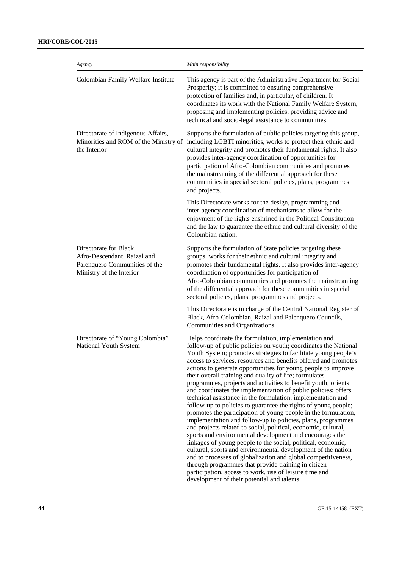| Agency                                                                                                             | Main responsibility                                                                                                                                                                                                                                                                                                                                                                                                                                                                                                                                                                                                                                                                                                                                                                                                                                                                                                                                                                                                                                                                                                                                                                                                                                                                       |
|--------------------------------------------------------------------------------------------------------------------|-------------------------------------------------------------------------------------------------------------------------------------------------------------------------------------------------------------------------------------------------------------------------------------------------------------------------------------------------------------------------------------------------------------------------------------------------------------------------------------------------------------------------------------------------------------------------------------------------------------------------------------------------------------------------------------------------------------------------------------------------------------------------------------------------------------------------------------------------------------------------------------------------------------------------------------------------------------------------------------------------------------------------------------------------------------------------------------------------------------------------------------------------------------------------------------------------------------------------------------------------------------------------------------------|
| Colombian Family Welfare Institute                                                                                 | This agency is part of the Administrative Department for Social<br>Prosperity; it is committed to ensuring comprehensive<br>protection of families and, in particular, of children. It<br>coordinates its work with the National Family Welfare System,<br>proposing and implementing policies, providing advice and<br>technical and socio-legal assistance to communities.                                                                                                                                                                                                                                                                                                                                                                                                                                                                                                                                                                                                                                                                                                                                                                                                                                                                                                              |
| Directorate of Indigenous Affairs,<br>Minorities and ROM of the Ministry of<br>the Interior                        | Supports the formulation of public policies targeting this group,<br>including LGBTI minorities, works to protect their ethnic and<br>cultural integrity and promotes their fundamental rights. It also<br>provides inter-agency coordination of opportunities for<br>participation of Afro-Colombian communities and promotes<br>the mainstreaming of the differential approach for these<br>communities in special sectoral policies, plans, programmes<br>and projects.                                                                                                                                                                                                                                                                                                                                                                                                                                                                                                                                                                                                                                                                                                                                                                                                                |
|                                                                                                                    | This Directorate works for the design, programming and<br>inter-agency coordination of mechanisms to allow for the<br>enjoyment of the rights enshrined in the Political Constitution<br>and the law to guarantee the ethnic and cultural diversity of the<br>Colombian nation.                                                                                                                                                                                                                                                                                                                                                                                                                                                                                                                                                                                                                                                                                                                                                                                                                                                                                                                                                                                                           |
| Directorate for Black,<br>Afro-Descendant, Raizal and<br>Palenquero Communities of the<br>Ministry of the Interior | Supports the formulation of State policies targeting these<br>groups, works for their ethnic and cultural integrity and<br>promotes their fundamental rights. It also provides inter-agency<br>coordination of opportunities for participation of<br>Afro-Colombian communities and promotes the mainstreaming<br>of the differential approach for these communities in special<br>sectoral policies, plans, programmes and projects.                                                                                                                                                                                                                                                                                                                                                                                                                                                                                                                                                                                                                                                                                                                                                                                                                                                     |
|                                                                                                                    | This Directorate is in charge of the Central National Register of<br>Black, Afro-Colombian, Raizal and Palenquero Councils,<br>Communities and Organizations.                                                                                                                                                                                                                                                                                                                                                                                                                                                                                                                                                                                                                                                                                                                                                                                                                                                                                                                                                                                                                                                                                                                             |
| Directorate of "Young Colombia"<br>National Youth System                                                           | Helps coordinate the formulation, implementation and<br>follow-up of public policies on youth; coordinates the National<br>Youth System; promotes strategies to facilitate young people's<br>access to services, resources and benefits offered and promotes<br>actions to generate opportunities for young people to improve<br>their overall training and quality of life; formulates<br>programmes, projects and activities to benefit youth; orients<br>and coordinates the implementation of public policies; offers<br>technical assistance in the formulation, implementation and<br>follow-up to policies to guarantee the rights of young people;<br>promotes the participation of young people in the formulation,<br>implementation and follow-up to policies, plans, programmes<br>and projects related to social, political, economic, cultural,<br>sports and environmental development and encourages the<br>linkages of young people to the social, political, economic,<br>cultural, sports and environmental development of the nation<br>and to processes of globalization and global competitiveness,<br>through programmes that provide training in citizen<br>participation, access to work, use of leisure time and<br>development of their potential and talents. |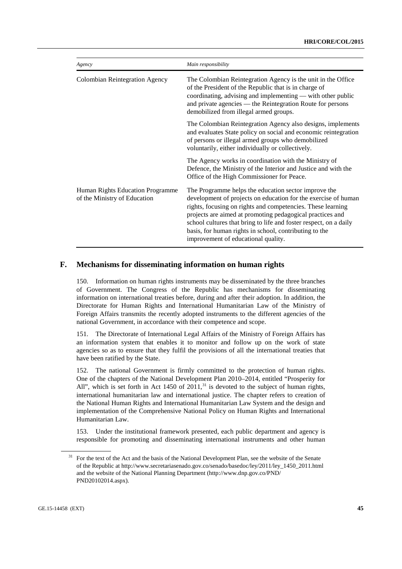| Agency                                                           | Main responsibility                                                                                                                                                                                                                                                                                                                                                                                                      |  |
|------------------------------------------------------------------|--------------------------------------------------------------------------------------------------------------------------------------------------------------------------------------------------------------------------------------------------------------------------------------------------------------------------------------------------------------------------------------------------------------------------|--|
| <b>Colombian Reintegration Agency</b>                            | The Colombian Reintegration Agency is the unit in the Office<br>of the President of the Republic that is in charge of<br>coordinating, advising and implementing — with other public<br>and private agencies — the Reintegration Route for persons<br>demobilized from illegal armed groups.                                                                                                                             |  |
|                                                                  | The Colombian Reintegration Agency also designs, implements<br>and evaluates State policy on social and economic reintegration<br>of persons or illegal armed groups who demobilized<br>voluntarily, either individually or collectively.                                                                                                                                                                                |  |
|                                                                  | The Agency works in coordination with the Ministry of<br>Defence, the Ministry of the Interior and Justice and with the<br>Office of the High Commissioner for Peace.                                                                                                                                                                                                                                                    |  |
| Human Rights Education Programme<br>of the Ministry of Education | The Programme helps the education sector improve the<br>development of projects on education for the exercise of human<br>rights, focusing on rights and competencies. These learning<br>projects are aimed at promoting pedagogical practices and<br>school cultures that bring to life and foster respect, on a daily<br>basis, for human rights in school, contributing to the<br>improvement of educational quality. |  |

## **F. Mechanisms for disseminating information on human rights**

150. Information on human rights instruments may be disseminated by the three branches of Government. The Congress of the Republic has mechanisms for disseminating information on international treaties before, during and after their adoption. In addition, the Directorate for Human Rights and International Humanitarian Law of the Ministry of Foreign Affairs transmits the recently adopted instruments to the different agencies of the national Government, in accordance with their competence and scope.

151. The Directorate of International Legal Affairs of the Ministry of Foreign Affairs has an information system that enables it to monitor and follow up on the work of state agencies so as to ensure that they fulfil the provisions of all the international treaties that have been ratified by the State.

152. The national Government is firmly committed to the protection of human rights. One of the chapters of the National Development Plan 2010–2014, entitled "Prosperity for All", which is set forth in Act 1450 of  $2011$ , $^{31}$  $^{31}$  $^{31}$  is devoted to the subject of human rights, international humanitarian law and international justice. The chapter refers to creation of the National Human Rights and International Humanitarian Law System and the design and implementation of the Comprehensive National Policy on Human Rights and International Humanitarian Law.

153. Under the institutional framework presented, each public department and agency is responsible for promoting and disseminating international instruments and other human

<span id="page-44-0"></span><sup>31</sup> For the text of the Act and the basis of the National Development Plan, see the website of the Senate of the Republic at http://www.secretariasenado.gov.co/senado/basedoc/ley/2011/ley\_1450\_2011.html and the website of the National Planning Department (http://www.dnp.gov.co/PND/ PND20102014.aspx).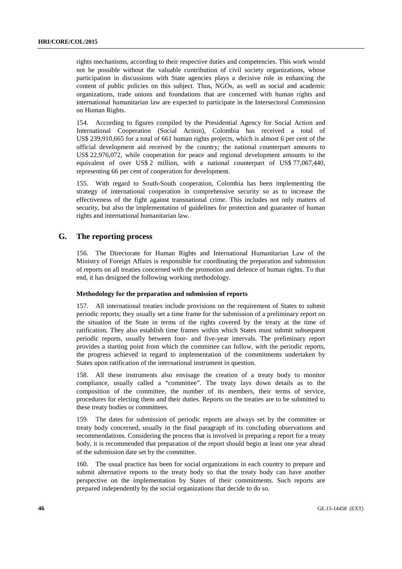rights mechanisms, according to their respective duties and competencies. This work would not be possible without the valuable contribution of civil society organizations, whose participation in discussions with State agencies plays a decisive role in enhancing the content of public policies on this subject. Thus, NGOs, as well as social and academic organizations, trade unions and foundations that are concerned with human rights and international humanitarian law are expected to participate in the Intersectoral Commission on Human Rights.

154. According to figures compiled by the Presidential Agency for Social Action and International Cooperation (Social Action), Colombia has received a total of US\$ 239,910,665 for a total of 661 human rights projects, which is almost 6 per cent of the official development aid received by the country; the national counterpart amounts to US\$ 22,976,072, while cooperation for peace and regional development amounts to the equivalent of over US\$ 2 million, with a national counterpart of US\$ 77,067,440, representing 66 per cent of cooperation for development.

155. With regard to South-South cooperation, Colombia has been implementing the strategy of international cooperation in comprehensive security so as to increase the effectiveness of the fight against transnational crime. This includes not only matters of security, but also the implementation of guidelines for protection and guarantee of human rights and international humanitarian law.

## **G. The reporting process**

156. The Directorate for Human Rights and International Humanitarian Law of the Ministry of Foreign Affairs is responsible for coordinating the preparation and submission of reports on all treaties concerned with the promotion and defence of human rights. To that end, it has designed the following working methodology.

#### **Methodology for the preparation and submission of reports**

157. All international treaties include provisions on the requirement of States to submit periodic reports; they usually set a time frame for the submission of a preliminary report on the situation of the State in terms of the rights covered by the treaty at the time of ratification. They also establish time frames within which States must submit subsequent periodic reports, usually between four- and five-year intervals. The preliminary report provides a starting point from which the committee can follow, with the periodic reports, the progress achieved in regard to implementation of the commitments undertaken by States upon ratification of the international instrument in question.

158. All these instruments also envisage the creation of a treaty body to monitor compliance, usually called a "committee". The treaty lays down details as to the composition of the committee, the number of its members, their terms of service, procedures for electing them and their duties. Reports on the treaties are to be submitted to these treaty bodies or committees.

159. The dates for submission of periodic reports are always set by the committee or treaty body concerned, usually in the final paragraph of its concluding observations and recommendations. Considering the process that is involved in preparing a report for a treaty body, it is recommended that preparation of the report should begin at least one year ahead of the submission date set by the committee.

160. The usual practice has been for social organizations in each country to prepare and submit alternative reports to the treaty body so that the treaty body can have another perspective on the implementation by States of their commitments. Such reports are prepared independently by the social organizations that decide to do so.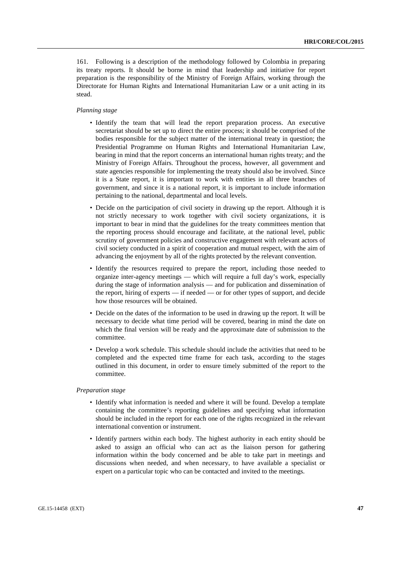161. Following is a description of the methodology followed by Colombia in preparing its treaty reports. It should be borne in mind that leadership and initiative for report preparation is the responsibility of the Ministry of Foreign Affairs, working through the Directorate for Human Rights and International Humanitarian Law or a unit acting in its stead.

#### *Planning stage*

- Identify the team that will lead the report preparation process. An executive secretariat should be set up to direct the entire process; it should be comprised of the bodies responsible for the subject matter of the international treaty in question; the Presidential Programme on Human Rights and International Humanitarian Law, bearing in mind that the report concerns an international human rights treaty; and the Ministry of Foreign Affairs. Throughout the process, however, all government and state agencies responsible for implementing the treaty should also be involved. Since it is a State report, it is important to work with entities in all three branches of government, and since it is a national report, it is important to include information pertaining to the national, departmental and local levels.
- Decide on the participation of civil society in drawing up the report. Although it is not strictly necessary to work together with civil society organizations, it is important to bear in mind that the guidelines for the treaty committees mention that the reporting process should encourage and facilitate, at the national level, public scrutiny of government policies and constructive engagement with relevant actors of civil society conducted in a spirit of cooperation and mutual respect, with the aim of advancing the enjoyment by all of the rights protected by the relevant convention.
- Identify the resources required to prepare the report, including those needed to organize inter-agency meetings — which will require a full day's work, especially during the stage of information analysis — and for publication and dissemination of the report, hiring of experts — if needed — or for other types of support, and decide how those resources will be obtained.
- Decide on the dates of the information to be used in drawing up the report. It will be necessary to decide what time period will be covered, bearing in mind the date on which the final version will be ready and the approximate date of submission to the committee.
- Develop a work schedule. This schedule should include the activities that need to be completed and the expected time frame for each task, according to the stages outlined in this document, in order to ensure timely submitted of the report to the committee.

#### *Preparation stage*

- Identify what information is needed and where it will be found. Develop a template containing the committee's reporting guidelines and specifying what information should be included in the report for each one of the rights recognized in the relevant international convention or instrument.
- Identify partners within each body. The highest authority in each entity should be asked to assign an official who can act as the liaison person for gathering information within the body concerned and be able to take part in meetings and discussions when needed, and when necessary, to have available a specialist or expert on a particular topic who can be contacted and invited to the meetings.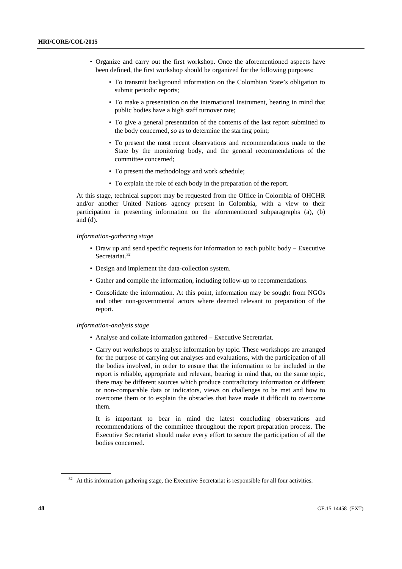- Organize and carry out the first workshop. Once the aforementioned aspects have been defined, the first workshop should be organized for the following purposes:
	- To transmit background information on the Colombian State's obligation to submit periodic reports;
	- To make a presentation on the international instrument, bearing in mind that public bodies have a high staff turnover rate;
	- To give a general presentation of the contents of the last report submitted to the body concerned, so as to determine the starting point;
	- To present the most recent observations and recommendations made to the State by the monitoring body, and the general recommendations of the committee concerned;
	- To present the methodology and work schedule;
	- To explain the role of each body in the preparation of the report.

At this stage, technical support may be requested from the Office in Colombia of OHCHR and/or another United Nations agency present in Colombia, with a view to their participation in presenting information on the aforementioned subparagraphs (a), (b) and (d).

*Information-gathering stage*

- Draw up and send specific requests for information to each public body Executive Secretariat.<sup>[32](#page-47-0)</sup>
- Design and implement the data-collection system.
- Gather and compile the information, including follow-up to recommendations.
- Consolidate the information. At this point, information may be sought from NGOs and other non-governmental actors where deemed relevant to preparation of the report.

#### *Information-analysis stage*

- Analyse and collate information gathered Executive Secretariat.
- Carry out workshops to analyse information by topic. These workshops are arranged for the purpose of carrying out analyses and evaluations, with the participation of all the bodies involved, in order to ensure that the information to be included in the report is reliable, appropriate and relevant, bearing in mind that, on the same topic, there may be different sources which produce contradictory information or different or non-comparable data or indicators, views on challenges to be met and how to overcome them or to explain the obstacles that have made it difficult to overcome them.

It is important to bear in mind the latest concluding observations and recommendations of the committee throughout the report preparation process. The Executive Secretariat should make every effort to secure the participation of all the bodies concerned.

<span id="page-47-0"></span><sup>&</sup>lt;sup>32</sup> At this information gathering stage, the Executive Secretariat is responsible for all four activities.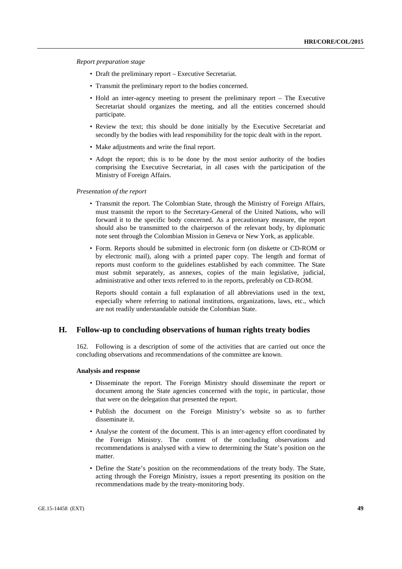*Report preparation stage*

- Draft the preliminary report Executive Secretariat.
- Transmit the preliminary report to the bodies concerned.
- Hold an inter-agency meeting to present the preliminary report The Executive Secretariat should organizes the meeting, and all the entities concerned should participate.
- Review the text; this should be done initially by the Executive Secretariat and secondly by the bodies with lead responsibility for the topic dealt with in the report.
- Make adjustments and write the final report.
- Adopt the report; this is to be done by the most senior authority of the bodies comprising the Executive Secretariat, in all cases with the participation of the Ministry of Foreign Affairs.

*Presentation of the report*

- Transmit the report. The Colombian State, through the Ministry of Foreign Affairs, must transmit the report to the Secretary-General of the United Nations, who will forward it to the specific body concerned. As a precautionary measure, the report should also be transmitted to the chairperson of the relevant body, by diplomatic note sent through the Colombian Mission in Geneva or New York, as applicable.
- Form. Reports should be submitted in electronic form (on diskette or CD-ROM or by electronic mail), along with a printed paper copy. The length and format of reports must conform to the guidelines established by each committee. The State must submit separately, as annexes, copies of the main legislative, judicial, administrative and other texts referred to in the reports, preferably on CD-ROM.

Reports should contain a full explanation of all abbreviations used in the text, especially where referring to national institutions, organizations, laws, etc., which are not readily understandable outside the Colombian State.

## **H. Follow-up to concluding observations of human rights treaty bodies**

162. Following is a description of some of the activities that are carried out once the concluding observations and recommendations of the committee are known.

#### **Analysis and response**

- Disseminate the report. The Foreign Ministry should disseminate the report or document among the State agencies concerned with the topic, in particular, those that were on the delegation that presented the report.
- Publish the document on the Foreign Ministry's website so as to further disseminate it.
- Analyse the content of the document. This is an inter-agency effort coordinated by the Foreign Ministry. The content of the concluding observations and recommendations is analysed with a view to determining the State's position on the matter.
- Define the State's position on the recommendations of the treaty body. The State, acting through the Foreign Ministry, issues a report presenting its position on the recommendations made by the treaty-monitoring body.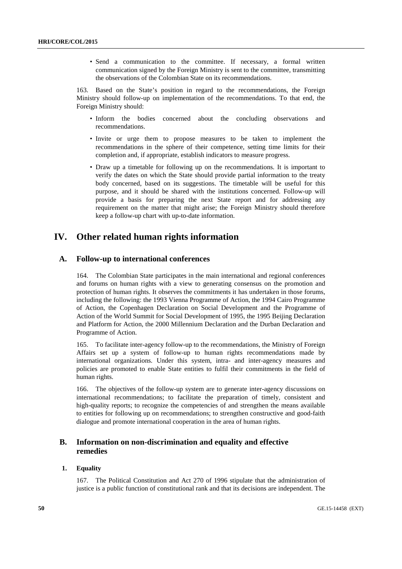• Send a communication to the committee. If necessary, a formal written communication signed by the Foreign Ministry is sent to the committee, transmitting the observations of the Colombian State on its recommendations.

163. Based on the State's position in regard to the recommendations, the Foreign Ministry should follow-up on implementation of the recommendations. To that end, the Foreign Ministry should:

- Inform the bodies concerned about the concluding observations and recommendations.
- Invite or urge them to propose measures to be taken to implement the recommendations in the sphere of their competence, setting time limits for their completion and, if appropriate, establish indicators to measure progress.
- Draw up a timetable for following up on the recommendations. It is important to verify the dates on which the State should provide partial information to the treaty body concerned, based on its suggestions. The timetable will be useful for this purpose, and it should be shared with the institutions concerned. Follow-up will provide a basis for preparing the next State report and for addressing any requirement on the matter that might arise; the Foreign Ministry should therefore keep a follow-up chart with up-to-date information.

## **IV. Other related human rights information**

## **A. Follow-up to international conferences**

164. The Colombian State participates in the main international and regional conferences and forums on human rights with a view to generating consensus on the promotion and protection of human rights. It observes the commitments it has undertaken in those forums, including the following: the 1993 Vienna Programme of Action, the 1994 Cairo Programme of Action, the Copenhagen Declaration on Social Development and the Programme of Action of the World Summit for Social Development of 1995, the 1995 Beijing Declaration and Platform for Action, the 2000 Millennium Declaration and the Durban Declaration and Programme of Action.

165. To facilitate inter-agency follow-up to the recommendations, the Ministry of Foreign Affairs set up a system of follow-up to human rights recommendations made by international organizations. Under this system, intra- and inter-agency measures and policies are promoted to enable State entities to fulfil their commitments in the field of human rights.

166. The objectives of the follow-up system are to generate inter-agency discussions on international recommendations; to facilitate the preparation of timely, consistent and high-quality reports; to recognize the competencies of and strengthen the means available to entities for following up on recommendations; to strengthen constructive and good-faith dialogue and promote international cooperation in the area of human rights.

## **B. Information on non-discrimination and equality and effective remedies**

## **1. Equality**

167. The Political Constitution and Act 270 of 1996 stipulate that the administration of justice is a public function of constitutional rank and that its decisions are independent. The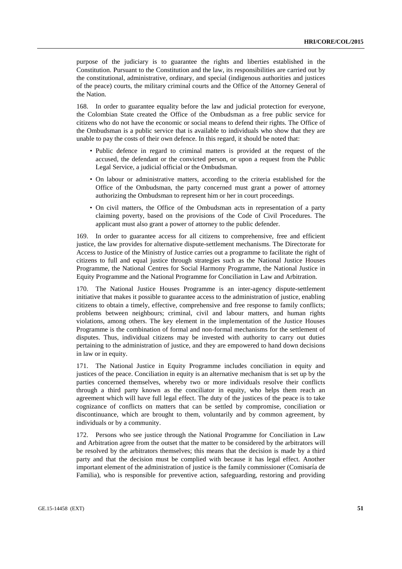purpose of the judiciary is to guarantee the rights and liberties established in the Constitution. Pursuant to the Constitution and the law, its responsibilities are carried out by the constitutional, administrative, ordinary, and special (indigenous authorities and justices of the peace) courts, the military criminal courts and the Office of the Attorney General of the Nation.

168. In order to guarantee equality before the law and judicial protection for everyone, the Colombian State created the Office of the Ombudsman as a free public service for citizens who do not have the economic or social means to defend their rights. The Office of the Ombudsman is a public service that is available to individuals who show that they are unable to pay the costs of their own defence. In this regard, it should be noted that:

- Public defence in regard to criminal matters is provided at the request of the accused, the defendant or the convicted person, or upon a request from the Public Legal Service, a judicial official or the Ombudsman.
- On labour or administrative matters, according to the criteria established for the Office of the Ombudsman, the party concerned must grant a power of attorney authorizing the Ombudsman to represent him or her in court proceedings.
- On civil matters, the Office of the Ombudsman acts in representation of a party claiming poverty, based on the provisions of the Code of Civil Procedures. The applicant must also grant a power of attorney to the public defender.

169. In order to guarantee access for all citizens to comprehensive, free and efficient justice, the law provides for alternative dispute-settlement mechanisms. The Directorate for Access to Justice of the Ministry of Justice carries out a programme to facilitate the right of citizens to full and equal justice through strategies such as the National Justice Houses Programme, the National Centres for Social Harmony Programme, the National Justice in Equity Programme and the National Programme for Conciliation in Law and Arbitration.

170. The National Justice Houses Programme is an inter-agency dispute-settlement initiative that makes it possible to guarantee access to the administration of justice, enabling citizens to obtain a timely, effective, comprehensive and free response to family conflicts; problems between neighbours; criminal, civil and labour matters, and human rights violations, among others. The key element in the implementation of the Justice Houses Programme is the combination of formal and non-formal mechanisms for the settlement of disputes. Thus, individual citizens may be invested with authority to carry out duties pertaining to the administration of justice, and they are empowered to hand down decisions in law or in equity.

171. The National Justice in Equity Programme includes conciliation in equity and justices of the peace. Conciliation in equity is an alternative mechanism that is set up by the parties concerned themselves, whereby two or more individuals resolve their conflicts through a third party known as the conciliator in equity, who helps them reach an agreement which will have full legal effect. The duty of the justices of the peace is to take cognizance of conflicts on matters that can be settled by compromise, conciliation or discontinuance, which are brought to them, voluntarily and by common agreement, by individuals or by a community.

172. Persons who see justice through the National Programme for Conciliation in Law and Arbitration agree from the outset that the matter to be considered by the arbitrators will be resolved by the arbitrators themselves; this means that the decision is made by a third party and that the decision must be complied with because it has legal effect. Another important element of the administration of justice is the family commissioner (Comisaría de Familia), who is responsible for preventive action, safeguarding, restoring and providing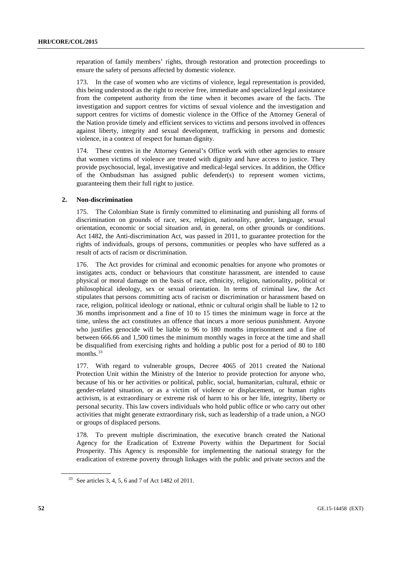reparation of family members' rights, through restoration and protection proceedings to ensure the safety of persons affected by domestic violence.

173. In the case of women who are victims of violence, legal representation is provided, this being understood as the right to receive free, immediate and specialized legal assistance from the competent authority from the time when it becomes aware of the facts. The investigation and support centres for victims of sexual violence and the investigation and support centres for victims of domestic violence in the Office of the Attorney General of the Nation provide timely and efficient services to victims and persons involved in offences against liberty, integrity and sexual development, trafficking in persons and domestic violence, in a context of respect for human dignity.

174. These centres in the Attorney General's Office work with other agencies to ensure that women victims of violence are treated with dignity and have access to justice. They provide psychosocial, legal, investigative and medical-legal services. In addition, the Office of the Ombudsman has assigned public defender(s) to represent women victims, guaranteeing them their full right to justice.

#### **2. Non-discrimination**

175. The Colombian State is firmly committed to eliminating and punishing all forms of discrimination on grounds of race, sex, religion, nationality, gender, language, sexual orientation, economic or social situation and, in general, on other grounds or conditions. Act 1482, the Anti-discrimination Act, was passed in 2011, to guarantee protection for the rights of individuals, groups of persons, communities or peoples who have suffered as a result of acts of racism or discrimination.

176. The Act provides for criminal and economic penalties for anyone who promotes or instigates acts, conduct or behaviours that constitute harassment, are intended to cause physical or moral damage on the basis of race, ethnicity, religion, nationality, political or philosophical ideology, sex or sexual orientation. In terms of criminal law, the Act stipulates that persons committing acts of racism or discrimination or harassment based on race, religion, political ideology or national, ethnic or cultural origin shall be liable to 12 to 36 months imprisonment and a fine of 10 to 15 times the minimum wage in force at the time, unless the act constitutes an offence that incurs a more serious punishment. Anyone who justifies genocide will be liable to 96 to 180 months imprisonment and a fine of between 666.66 and 1,500 times the minimum monthly wages in force at the time and shall be disqualified from exercising rights and holding a public post for a period of 80 to 180 months.<sup>[33](#page-51-0)</sup>

177. With regard to vulnerable groups, Decree 4065 of 2011 created the National Protection Unit within the Ministry of the Interior to provide protection for anyone who, because of his or her activities or political, public, social, humanitarian, cultural, ethnic or gender-related situation, or as a victim of violence or displacement, or human rights activism, is at extraordinary or extreme risk of harm to his or her life, integrity, liberty or personal security. This law covers individuals who hold public office or who carry out other activities that might generate extraordinary risk, such as leadership of a trade union, a NGO or groups of displaced persons.

178. To prevent multiple discrimination, the executive branch created the National Agency for the Eradication of Extreme Poverty within the Department for Social Prosperity. This Agency is responsible for implementing the national strategy for the eradication of extreme poverty through linkages with the public and private sectors and the

<span id="page-51-0"></span><sup>33</sup> See articles 3, 4, 5, 6 and 7 of Act 1482 of 2011.